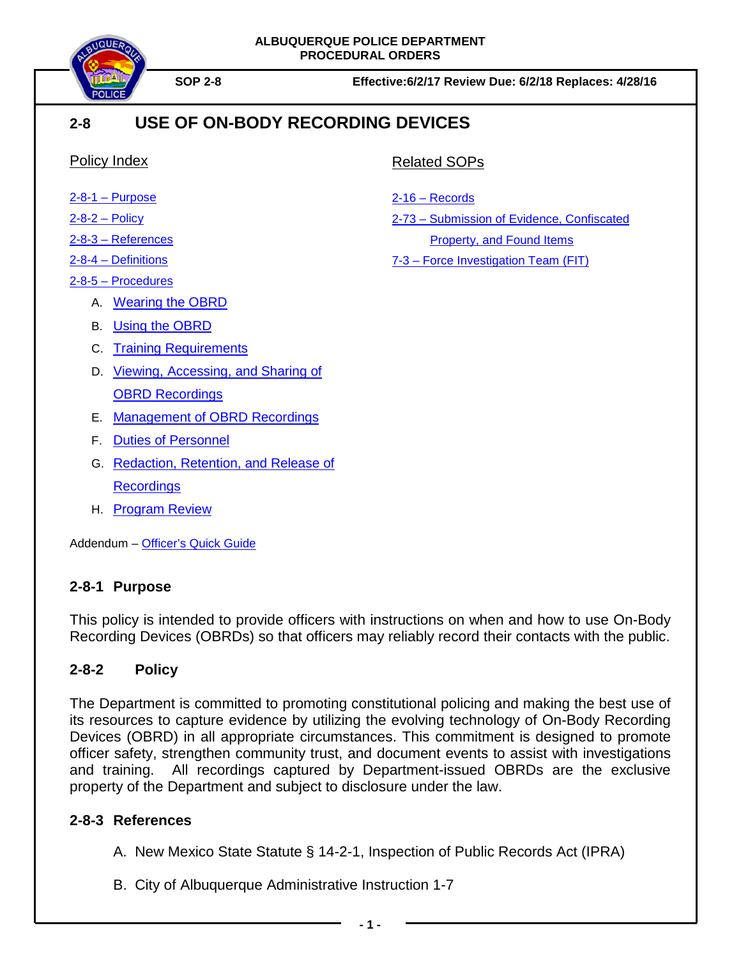

**SOP 2-8 Effective:6/2/17 Review Due: 6/2/18 Replaces: 4/28/16**

# **2-8 USE OF ON-BODY RECORDING DEVICES**

### Policy Index

2-8-1 – [Purpose](#page-0-0)

[2-8-2 –](#page-0-1) Policy

- 2-8-3 [References](#page-0-2)
- 2-8-4 [Definitions](#page-1-0)
- 2-8-5 [Procedures](#page-2-0)
	- A. [Wearing the](#page-2-1) OBRD
	- B. Using the [OBRD](#page-2-2)
	- C. [Training Requirements](#page-5-0)
	- D. [Viewing, Accessing, and Sharing of](#page-5-1)  [OBRD Recordings](#page-5-1)
	- E. [Management of OBRD Recordings](#page-5-2)
	- F. [Duties of Personnel](#page-6-0)
	- G. [Redaction, Retention, and Release of](#page-8-0)  **[Recordings](#page-8-0)**
	- H. [Program Review](#page-9-0)

Addendum – [Officer's Quick Guide](#page-9-1)

# <span id="page-0-0"></span>**2-8-1 Purpose**

This policy is intended to provide officers with instructions on when and how to use On-Body Recording Devices (OBRDs) so that officers may reliably record their contacts with the public.

# <span id="page-0-1"></span>**2-8-2 Policy**

The Department is committed to promoting constitutional policing and making the best use of its resources to capture evidence by utilizing the evolving technology of On-Body Recording Devices (OBRD) in all appropriate circumstances. This commitment is designed to promote officer safety, strengthen community trust, and document events to assist with investigations and training. All recordings captured by Department-issued OBRDs are the exclusive property of the Department and subject to disclosure under the law.

### <span id="page-0-2"></span>**2-8-3 References**

- A. New Mexico State Statute § 14-2-1, Inspection of Public Records Act (IPRA)
- B. City of Albuquerque Administrative Instruction 1-7

# Related SOPs

2-16 – [Records](https://powerdms.com/link/IDS/document/?id=19)

2-73 – [Submission of Evidence, Confiscated](https://powerdms.com/link/IDS/document/?id=88) 

[Property, and Found Items](https://powerdms.com/link/IDS/document/?id=88)

7-3 – [Force Investigation Team \(FIT\)](https://powerdms.com/link/IDS/document/?id=863583)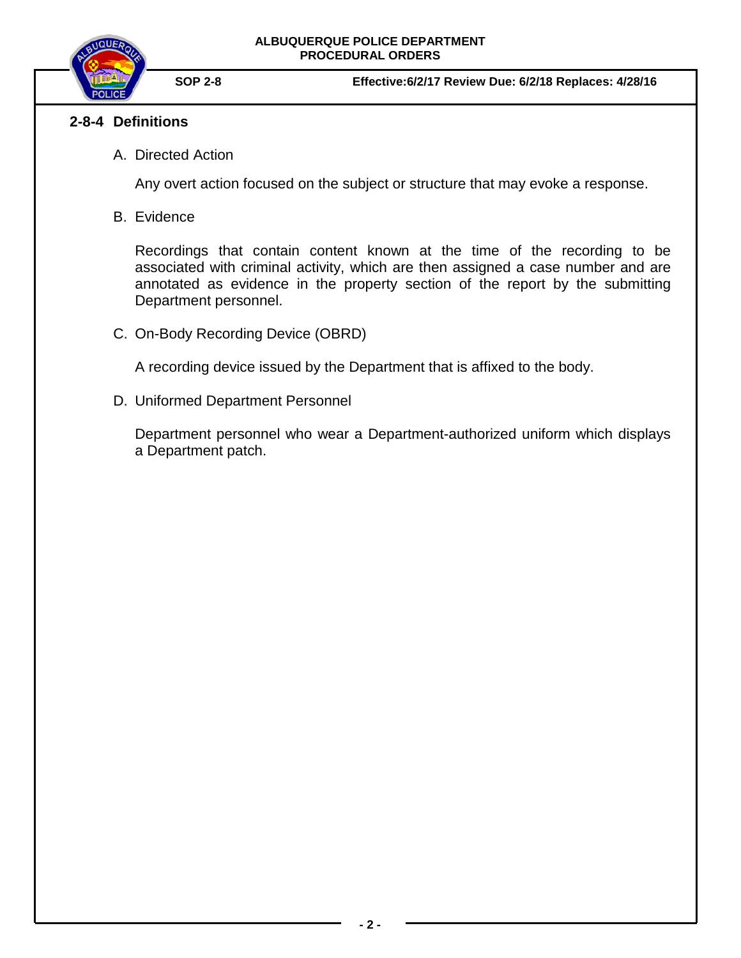#### **ALBUQUERQUE POLICE DEPARTMENT PROCEDURAL ORDERS**



**SOP 2-8 Effective:6/2/17 Review Due: 6/2/18 Replaces: 4/28/16**

### <span id="page-1-0"></span>**2-8-4 Definitions**

A. Directed Action

Any overt action focused on the subject or structure that may evoke a response.

B. Evidence

Recordings that contain content known at the time of the recording to be associated with criminal activity, which are then assigned a case number and are annotated as evidence in the property section of the report by the submitting Department personnel.

C. On-Body Recording Device (OBRD)

A recording device issued by the Department that is affixed to the body.

D. Uniformed Department Personnel

Department personnel who wear a Department-authorized uniform which displays a Department patch.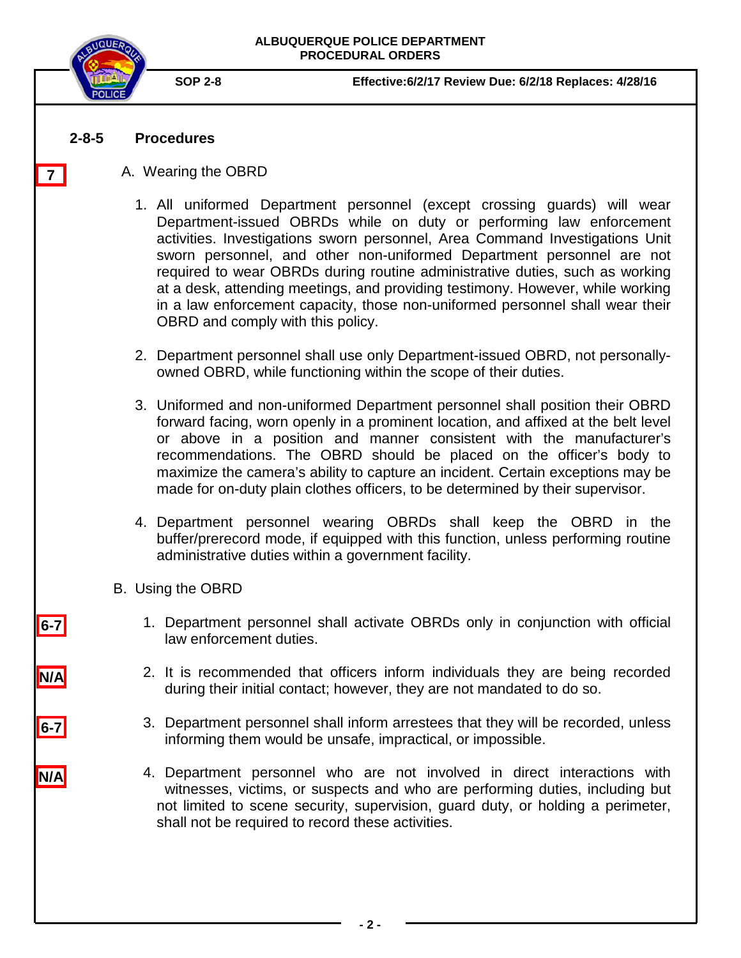

<span id="page-2-1"></span>**7**

**SOP 2-8 Effective:6/2/17 Review Due: 6/2/18 Replaces: 4/28/16**

### **2-8-5 Procedures**

### <span id="page-2-0"></span>A. Wearing the OBRD

- 1. All uniformed Department personnel (except crossing guards) will wear Department-issued OBRDs while on duty or performing law enforcement activities. Investigations sworn personnel, Area Command Investigations Unit sworn personnel, and other non-uniformed Department personnel are not required to wear OBRDs during routine administrative duties, such as working at a desk, attending meetings, and providing testimony. However, while working in a law enforcement capacity, those non-uniformed personnel shall wear their OBRD and comply with this policy.
- 2. Department personnel shall use only Department-issued OBRD, not personallyowned OBRD, while functioning within the scope of their duties.
- 3. Uniformed and non-uniformed Department personnel shall position their OBRD forward facing, worn openly in a prominent location, and affixed at the belt level or above in a position and manner consistent with the manufacturer's recommendations. The OBRD should be placed on the officer's body to maximize the camera's ability to capture an incident. Certain exceptions may be made for on-duty plain clothes officers, to be determined by their supervisor.
- 4. Department personnel wearing OBRDs shall keep the OBRD in the buffer/prerecord mode, if equipped with this function, unless performing routine administrative duties within a government facility.
- <span id="page-2-2"></span>B. Using the OBRD

**6-7**

**N/A**

**N/A**

**6-7**

- 1. Department personnel shall activate OBRDs only in conjunction with official law enforcement duties.
- 2. It is recommended that officers inform individuals they are being recorded during their initial contact; however, they are not mandated to do so.
- 3. Department personnel shall inform arrestees that they will be recorded, unless informing them would be unsafe, impractical, or impossible.
- 4. Department personnel who are not involved in direct interactions with witnesses, victims, or suspects and who are performing duties, including but not limited to scene security, supervision, guard duty, or holding a perimeter, shall not be required to record these activities.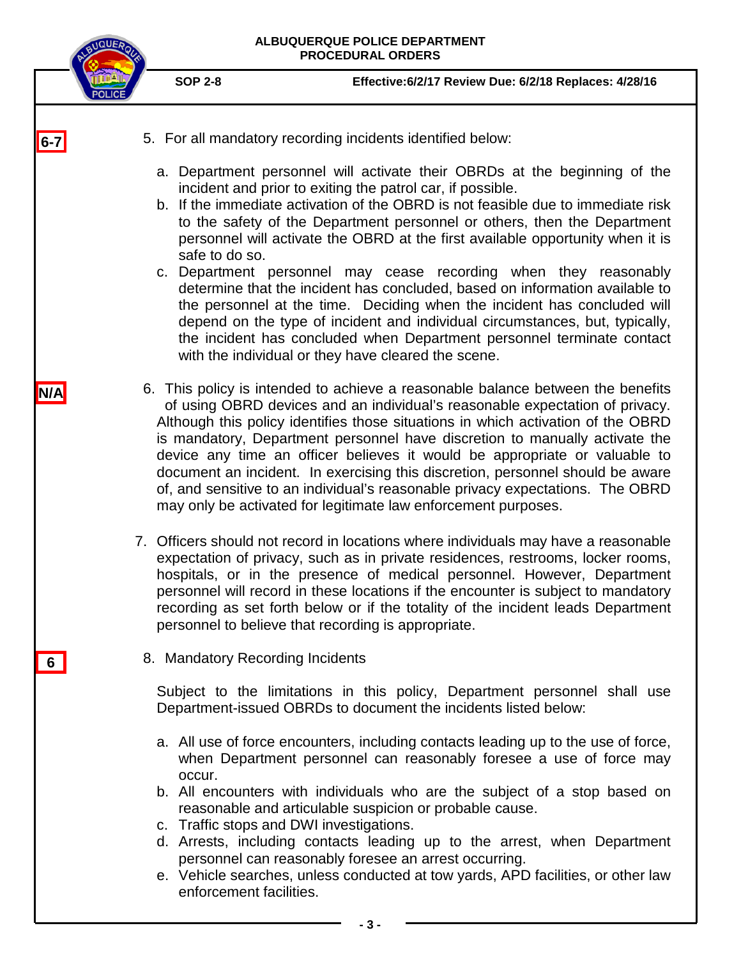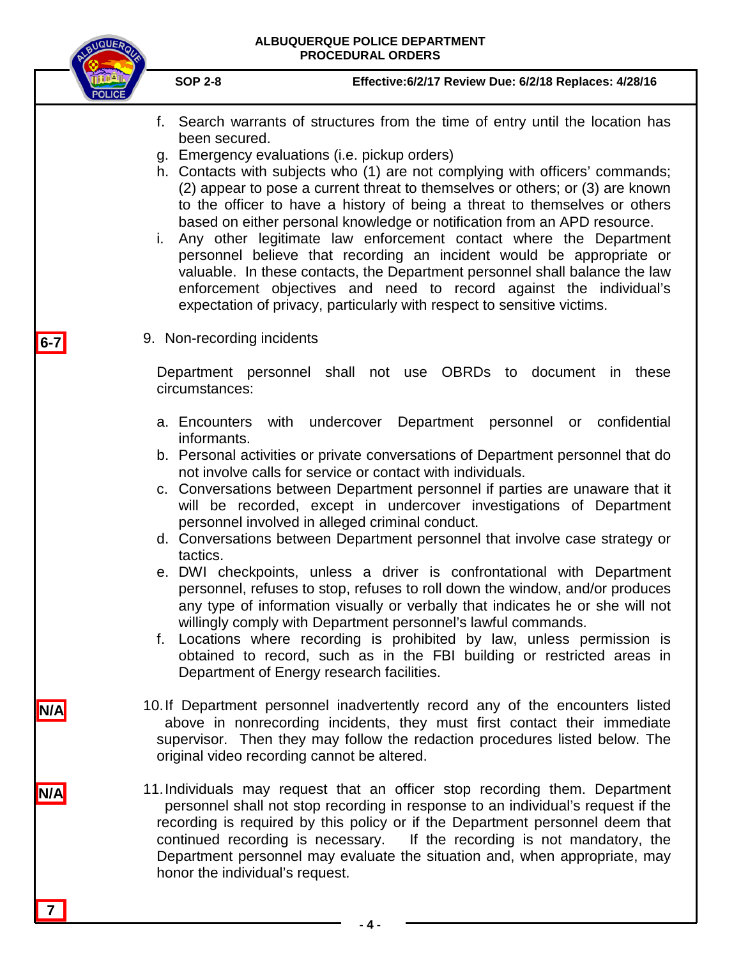# **ALBUQUERQUE POLICE DEPARTMENT**

**MOUR** 

|         | <b>PROCEDURAL ORDERS</b>                                                                                                                                                                                                                                                                                                                                                                                                                                                                                                                                                                                                                                                                                                                                                                                                                                                                                                                                                                                                                               |
|---------|--------------------------------------------------------------------------------------------------------------------------------------------------------------------------------------------------------------------------------------------------------------------------------------------------------------------------------------------------------------------------------------------------------------------------------------------------------------------------------------------------------------------------------------------------------------------------------------------------------------------------------------------------------------------------------------------------------------------------------------------------------------------------------------------------------------------------------------------------------------------------------------------------------------------------------------------------------------------------------------------------------------------------------------------------------|
|         | <b>SOP 2-8</b><br>Effective: 6/2/17 Review Due: 6/2/18 Replaces: 4/28/16                                                                                                                                                                                                                                                                                                                                                                                                                                                                                                                                                                                                                                                                                                                                                                                                                                                                                                                                                                               |
|         | f. Search warrants of structures from the time of entry until the location has<br>been secured.<br>g. Emergency evaluations (i.e. pickup orders)<br>h. Contacts with subjects who (1) are not complying with officers' commands;<br>(2) appear to pose a current threat to themselves or others; or (3) are known<br>to the officer to have a history of being a threat to themselves or others<br>based on either personal knowledge or notification from an APD resource.<br>Any other legitimate law enforcement contact where the Department<br>i.<br>personnel believe that recording an incident would be appropriate or<br>valuable. In these contacts, the Department personnel shall balance the law<br>enforcement objectives and need to record against the individual's<br>expectation of privacy, particularly with respect to sensitive victims.                                                                                                                                                                                         |
| $6 - 7$ | 9. Non-recording incidents                                                                                                                                                                                                                                                                                                                                                                                                                                                                                                                                                                                                                                                                                                                                                                                                                                                                                                                                                                                                                             |
|         | Department personnel shall not use OBRDs to document in these<br>circumstances:                                                                                                                                                                                                                                                                                                                                                                                                                                                                                                                                                                                                                                                                                                                                                                                                                                                                                                                                                                        |
|         | a. Encounters with undercover Department personnel or confidential<br>informants.<br>b. Personal activities or private conversations of Department personnel that do<br>not involve calls for service or contact with individuals.<br>c. Conversations between Department personnel if parties are unaware that it<br>will be recorded, except in undercover investigations of Department<br>personnel involved in alleged criminal conduct.<br>d. Conversations between Department personnel that involve case strategy or<br>tactics.<br>e. DWI checkpoints, unless a driver is confrontational with Department<br>personnel, refuses to stop, refuses to roll down the window, and/or produces<br>any type of information visually or verbally that indicates he or she will not<br>willingly comply with Department personnel's lawful commands.<br>f. Locations where recording is prohibited by law, unless permission is<br>obtained to record, such as in the FBI building or restricted areas in<br>Department of Energy research facilities. |
|         | 10. If Department personnel inadvertently record any of the encounters listed<br>above in nonrecording incidents, they must first contact their immediate<br>supervisor. Then they may follow the redaction procedures listed below. The<br>original video recording cannot be altered.                                                                                                                                                                                                                                                                                                                                                                                                                                                                                                                                                                                                                                                                                                                                                                |
| N/A     | 11. Individuals may request that an officer stop recording them. Department<br>personnel shall not stop recording in response to an individual's request if the<br>recording is required by this policy or if the Department personnel deem that<br>continued recording is necessary. If the recording is not mandatory, the<br>Department personnel may evaluate the situation and, when appropriate, may<br>honor the individual's request.                                                                                                                                                                                                                                                                                                                                                                                                                                                                                                                                                                                                          |
|         |                                                                                                                                                                                                                                                                                                                                                                                                                                                                                                                                                                                                                                                                                                                                                                                                                                                                                                                                                                                                                                                        |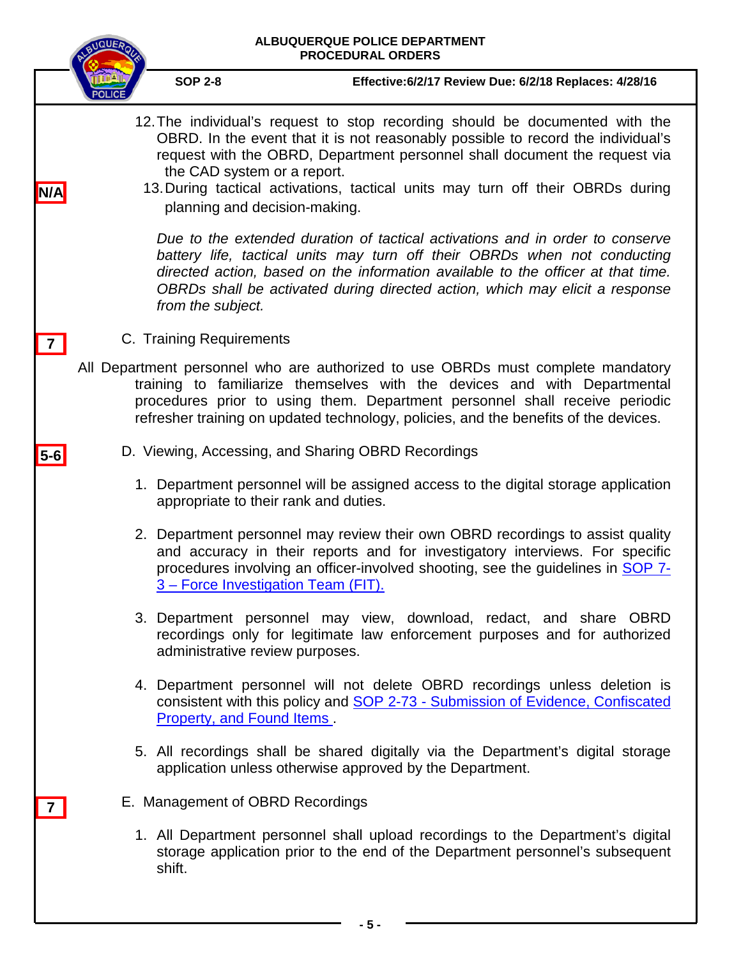<span id="page-5-1"></span><span id="page-5-0"></span>

|                | ALBUQUERQUE POLICE DEPARTMENT<br><b>PROCEDURAL ORDERS</b>    |                                                                                                                                                                                                                                                                                                                                      |  |  |
|----------------|--------------------------------------------------------------|--------------------------------------------------------------------------------------------------------------------------------------------------------------------------------------------------------------------------------------------------------------------------------------------------------------------------------------|--|--|
|                | <b>SOP 2-8</b>                                               | Effective: 6/2/17 Review Due: 6/2/18 Replaces: 4/28/16                                                                                                                                                                                                                                                                               |  |  |
| N/A            | the CAD system or a report.<br>planning and decision-making. | 12. The individual's request to stop recording should be documented with the<br>OBRD. In the event that it is not reasonably possible to record the individual's<br>request with the OBRD, Department personnel shall document the request via<br>13. During tactical activations, tactical units may turn off their OBRDs during    |  |  |
|                | from the subject.                                            | Due to the extended duration of tactical activations and in order to conserve<br>battery life, tactical units may turn off their OBRDs when not conducting<br>directed action, based on the information available to the officer at that time.<br>OBRDs shall be activated during directed action, which may elicit a response       |  |  |
| $\overline{7}$ | C. Training Requirements                                     |                                                                                                                                                                                                                                                                                                                                      |  |  |
|                |                                                              | All Department personnel who are authorized to use OBRDs must complete mandatory<br>training to familiarize themselves with the devices and with Departmental<br>procedures prior to using them. Department personnel shall receive periodic<br>refresher training on updated technology, policies, and the benefits of the devices. |  |  |
| $5 - 6$        |                                                              | D. Viewing, Accessing, and Sharing OBRD Recordings                                                                                                                                                                                                                                                                                   |  |  |
|                | appropriate to their rank and duties.                        | 1. Department personnel will be assigned access to the digital storage application                                                                                                                                                                                                                                                   |  |  |
|                | 3 - Force Investigation Team (FIT).                          | 2. Department personnel may review their own OBRD recordings to assist quality<br>and accuracy in their reports and for investigatory interviews. For specific<br>procedures involving an officer-involved shooting, see the guidelines in SOP 7-                                                                                    |  |  |
|                | administrative review purposes.                              | 3. Department personnel may view, download, redact, and share OBRD<br>recordings only for legitimate law enforcement purposes and for authorized                                                                                                                                                                                     |  |  |
|                | Property, and Found Items.                                   | 4. Department personnel will not delete OBRD recordings unless deletion is<br>consistent with this policy and SOP 2-73 - Submission of Evidence, Confiscated                                                                                                                                                                         |  |  |
|                |                                                              | 5. All recordings shall be shared digitally via the Department's digital storage<br>application unless otherwise approved by the Department.                                                                                                                                                                                         |  |  |
| 7              | E. Management of OBRD Recordings                             |                                                                                                                                                                                                                                                                                                                                      |  |  |
|                | shift.                                                       | 1. All Department personnel shall upload recordings to the Department's digital<br>storage application prior to the end of the Department personnel's subsequent                                                                                                                                                                     |  |  |
|                |                                                              |                                                                                                                                                                                                                                                                                                                                      |  |  |

<span id="page-5-2"></span>**- 5 -**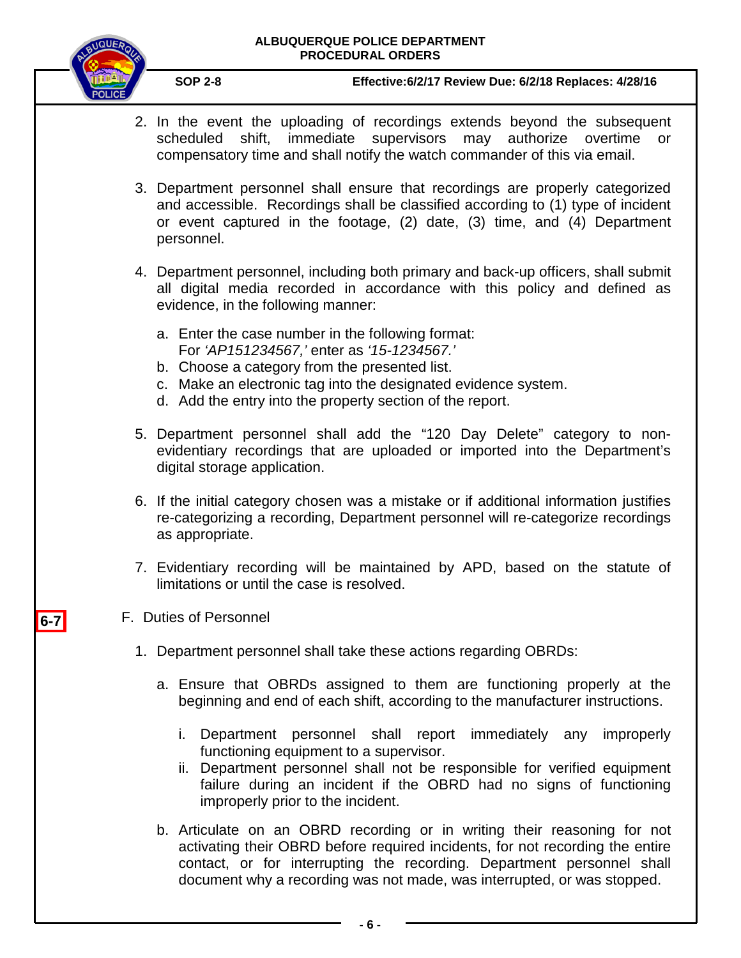#### **ALBUQUERQUE POLICE DEPARTMENT PROCEDURAL ORDERS**



**SOP 2-8 Effective:6/2/17 Review Due: 6/2/18 Replaces: 4/28/16**

- 2. In the event the uploading of recordings extends beyond the subsequent scheduled shift, immediate supervisors may authorize overtime or compensatory time and shall notify the watch commander of this via email.
- 3. Department personnel shall ensure that recordings are properly categorized and accessible. Recordings shall be classified according to (1) type of incident or event captured in the footage, (2) date, (3) time, and (4) Department personnel.
- 4. Department personnel, including both primary and back-up officers, shall submit all digital media recorded in accordance with this policy and defined as evidence, in the following manner:
	- a. Enter the case number in the following format: For *'AP151234567,'* enter as *'15-1234567.'*
	- b. Choose a category from the presented list.
	- c. Make an electronic tag into the designated evidence system.
	- d. Add the entry into the property section of the report.
- 5. Department personnel shall add the "120 Day Delete" category to nonevidentiary recordings that are uploaded or imported into the Department's digital storage application.
- 6. If the initial category chosen was a mistake or if additional information justifies re-categorizing a recording, Department personnel will re-categorize recordings as appropriate.
- 7. Evidentiary recording will be maintained by APD, based on the statute of limitations or until the case is resolved.
- F. Duties of Personnel

<span id="page-6-0"></span>**6-7**

- 1. Department personnel shall take these actions regarding OBRDs:
	- a. Ensure that OBRDs assigned to them are functioning properly at the beginning and end of each shift, according to the manufacturer instructions.
		- i. Department personnel shall report immediately any improperly functioning equipment to a supervisor.
		- ii. Department personnel shall not be responsible for verified equipment failure during an incident if the OBRD had no signs of functioning improperly prior to the incident.
	- b. Articulate on an OBRD recording or in writing their reasoning for not activating their OBRD before required incidents, for not recording the entire contact, or for interrupting the recording. Department personnel shall document why a recording was not made, was interrupted, or was stopped.

**- 6 -**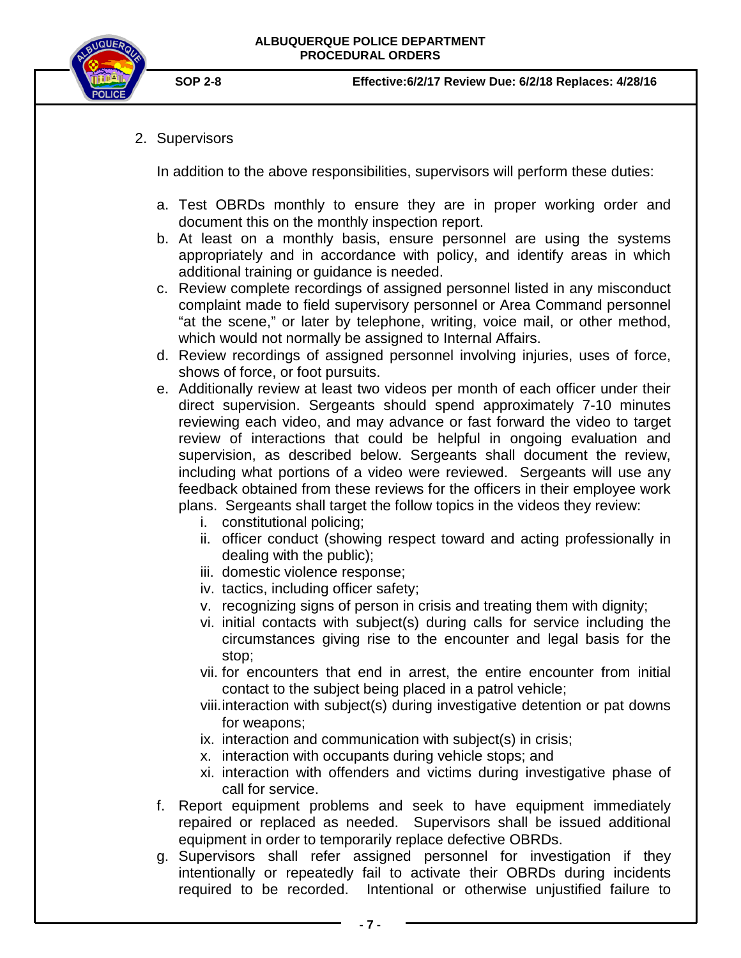

**SOP 2-8 Effective:6/2/17 Review Due: 6/2/18 Replaces: 4/28/16**

2. Supervisors

In addition to the above responsibilities, supervisors will perform these duties:

- a. Test OBRDs monthly to ensure they are in proper working order and document this on the monthly inspection report.
- b. At least on a monthly basis, ensure personnel are using the systems appropriately and in accordance with policy, and identify areas in which additional training or guidance is needed.
- c. Review complete recordings of assigned personnel listed in any misconduct complaint made to field supervisory personnel or Area Command personnel "at the scene," or later by telephone, writing, voice mail, or other method, which would not normally be assigned to Internal Affairs.
- d. Review recordings of assigned personnel involving injuries, uses of force, shows of force, or foot pursuits.
- e. Additionally review at least two videos per month of each officer under their direct supervision. Sergeants should spend approximately 7-10 minutes reviewing each video, and may advance or fast forward the video to target review of interactions that could be helpful in ongoing evaluation and supervision, as described below. Sergeants shall document the review, including what portions of a video were reviewed. Sergeants will use any feedback obtained from these reviews for the officers in their employee work plans. Sergeants shall target the follow topics in the videos they review:
	- i. constitutional policing;
	- ii. officer conduct (showing respect toward and acting professionally in dealing with the public);
	- iii. domestic violence response;
	- iv. tactics, including officer safety;
	- v. recognizing signs of person in crisis and treating them with dignity;
	- vi. initial contacts with subject(s) during calls for service including the circumstances giving rise to the encounter and legal basis for the stop;
	- vii. for encounters that end in arrest, the entire encounter from initial contact to the subject being placed in a patrol vehicle;
	- viii.interaction with subject(s) during investigative detention or pat downs for weapons;
	- ix. interaction and communication with subject(s) in crisis;
	- x. interaction with occupants during vehicle stops; and
	- xi. interaction with offenders and victims during investigative phase of call for service.
- f. Report equipment problems and seek to have equipment immediately repaired or replaced as needed. Supervisors shall be issued additional equipment in order to temporarily replace defective OBRDs.
- g. Supervisors shall refer assigned personnel for investigation if they intentionally or repeatedly fail to activate their OBRDs during incidents required to be recorded. Intentional or otherwise unjustified failure to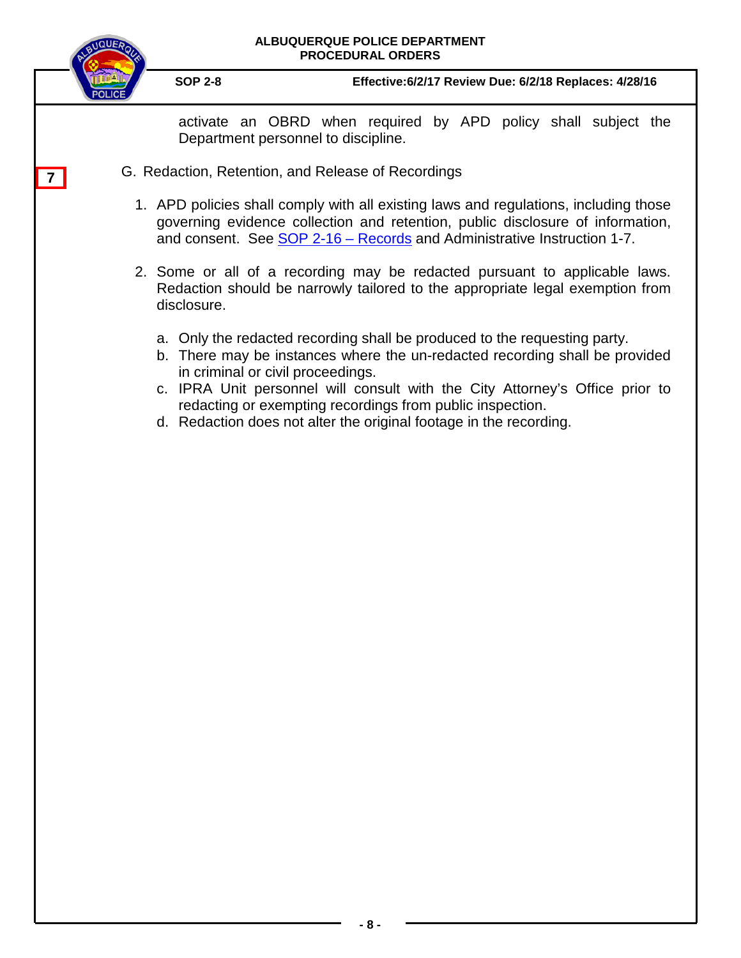<span id="page-8-0"></span>

|                | ALBUQUERQUE POLICE DEPARTMENT<br><b>PROCEDURAL ORDERS</b>                                                                                                                                                                                         |  |  |  |
|----------------|---------------------------------------------------------------------------------------------------------------------------------------------------------------------------------------------------------------------------------------------------|--|--|--|
| <b>SOP 2-8</b> | Effective: 6/2/17 Review Due: 6/2/18 Replaces: 4/28/16                                                                                                                                                                                            |  |  |  |
|                | activate an OBRD when required by APD policy shall subject the<br>Department personnel to discipline.                                                                                                                                             |  |  |  |
|                | G. Redaction, Retention, and Release of Recordings                                                                                                                                                                                                |  |  |  |
|                | 1. APD policies shall comply with all existing laws and regulations, including those<br>governing evidence collection and retention, public disclosure of information,<br>and consent. See SOP 2-16 – Records and Administrative Instruction 1-7. |  |  |  |
| disclosure.    | 2. Some or all of a recording may be redacted pursuant to applicable laws.<br>Redaction should be narrowly tailored to the appropriate legal exemption from                                                                                       |  |  |  |

- a. Only the redacted recording shall be produced to the requesting party.
- b. There may be instances where the un-redacted recording shall be provided in criminal or civil proceedings.
- c. IPRA Unit personnel will consult with the City Attorney's Office prior to redacting or exempting recordings from public inspection.
- d. Redaction does not alter the original footage in the recording.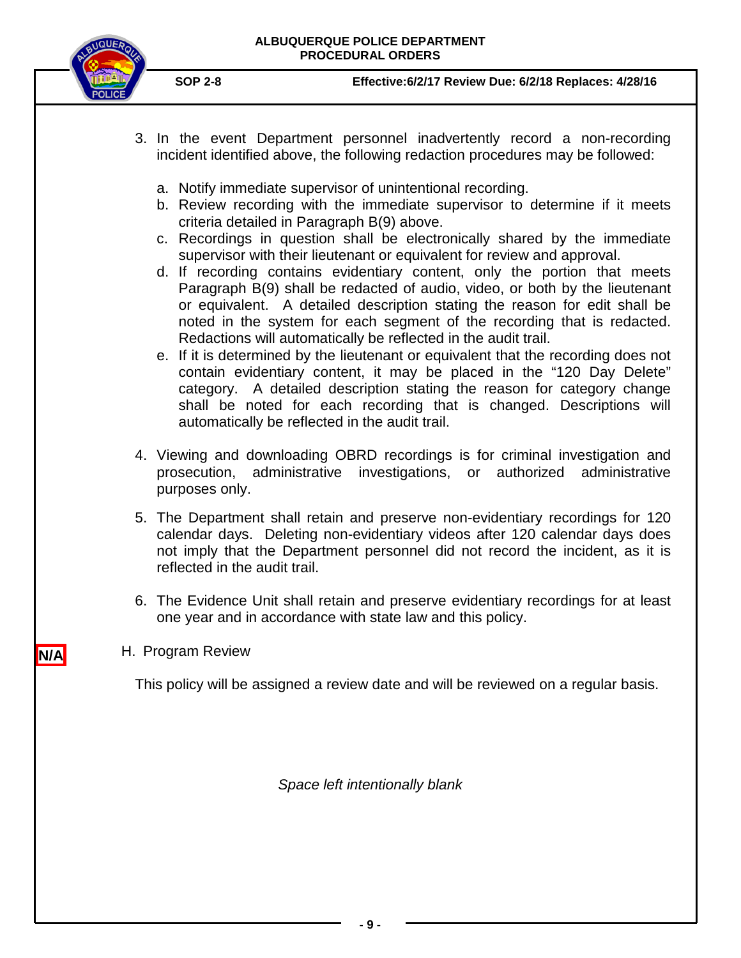

**SOP 2-8 Effective:6/2/17 Review Due: 6/2/18 Replaces: 4/28/16**

- 3. In the event Department personnel inadvertently record a non-recording incident identified above, the following redaction procedures may be followed:
	- a. Notify immediate supervisor of unintentional recording.
	- b. Review recording with the immediate supervisor to determine if it meets criteria detailed in Paragraph B(9) above.
	- c. Recordings in question shall be electronically shared by the immediate supervisor with their lieutenant or equivalent for review and approval.
	- d. If recording contains evidentiary content, only the portion that meets Paragraph B(9) shall be redacted of audio, video, or both by the lieutenant or equivalent. A detailed description stating the reason for edit shall be noted in the system for each segment of the recording that is redacted. Redactions will automatically be reflected in the audit trail.
	- e. If it is determined by the lieutenant or equivalent that the recording does not contain evidentiary content, it may be placed in the "120 Day Delete" category. A detailed description stating the reason for category change shall be noted for each recording that is changed. Descriptions will automatically be reflected in the audit trail.
- 4. Viewing and downloading OBRD recordings is for criminal investigation and prosecution, administrative investigations, or authorized administrative purposes only.
- 5. The Department shall retain and preserve non-evidentiary recordings for 120 calendar days. Deleting non-evidentiary videos after 120 calendar days does not imply that the Department personnel did not record the incident, as it is reflected in the audit trail.
- 6. The Evidence Unit shall retain and preserve evidentiary recordings for at least one year and in accordance with state law and this policy.
- H. Program Review

<span id="page-9-1"></span>This policy will be assigned a review date and will be reviewed on a regular basis.

*Space left intentionally blank*

<span id="page-9-0"></span>**N/A**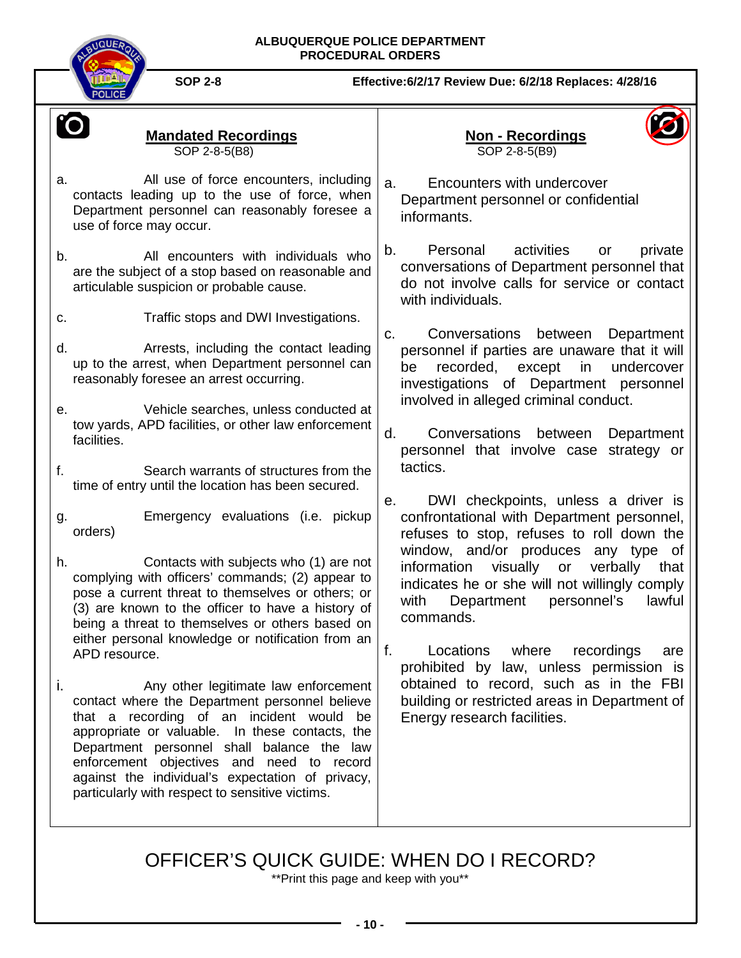#### **ALBUQUERQUE POLICE DEPARTMENT PROCEDURAL ORDERS**



**6** 

**SOP 2-8 Effective:6/2/17 Review Due: 6/2/18 Replaces: 4/28/16**



- a. All use of force encounters, including contacts leading up to the use of force, when Department personnel can reasonably foresee a use of force may occur.
- b. All encounters with individuals who are the subject of a stop based on reasonable and articulable suspicion or probable cause.
- c. Traffic stops and DWI Investigations.
- d. Arrests, including the contact leading up to the arrest, when Department personnel can reasonably foresee an arrest occurring.
- e. Vehicle searches, unless conducted at tow yards, APD facilities, or other law enforcement facilities.
- f. Search warrants of structures from the time of entry until the location has been secured.
- g. Emergency evaluations (i.e. pickup orders)
- h. Contacts with subjects who (1) are not complying with officers' commands; (2) appear to pose a current threat to themselves or others; or (3) are known to the officer to have a history of being a threat to themselves or others based on either personal knowledge or notification from an APD resource.

i. Any other legitimate law enforcement contact where the Department personnel believe that a recording of an incident would be appropriate or valuable. In these contacts, the Department personnel shall balance the law enforcement objectives and need to record against the individual's expectation of privacy, particularly with respect to sensitive victims.





a. Encounters with undercover

- Department personnel or confidential informants.
- b. Personal activities or private conversations of Department personnel that do not involve calls for service or contact with individuals.
- c. Conversations between Department personnel if parties are unaware that it will be recorded, except in undercover investigations of Department personnel involved in alleged criminal conduct.
- d. Conversations between Department personnel that involve case strategy or tactics.
- e. DWI checkpoints, unless a driver is confrontational with Department personnel, refuses to stop, refuses to roll down the window, and/or produces any type of information visually or verbally that indicates he or she will not willingly comply with Department personnel's lawful commands.
- f. Locations where recordings are prohibited by law, unless permission is obtained to record, such as in the FBI building or restricted areas in Department of Energy research facilities.

# OFFICER'S QUICK GUIDE: WHEN DO I RECORD?

\*\*Print this page and keep with you\*\*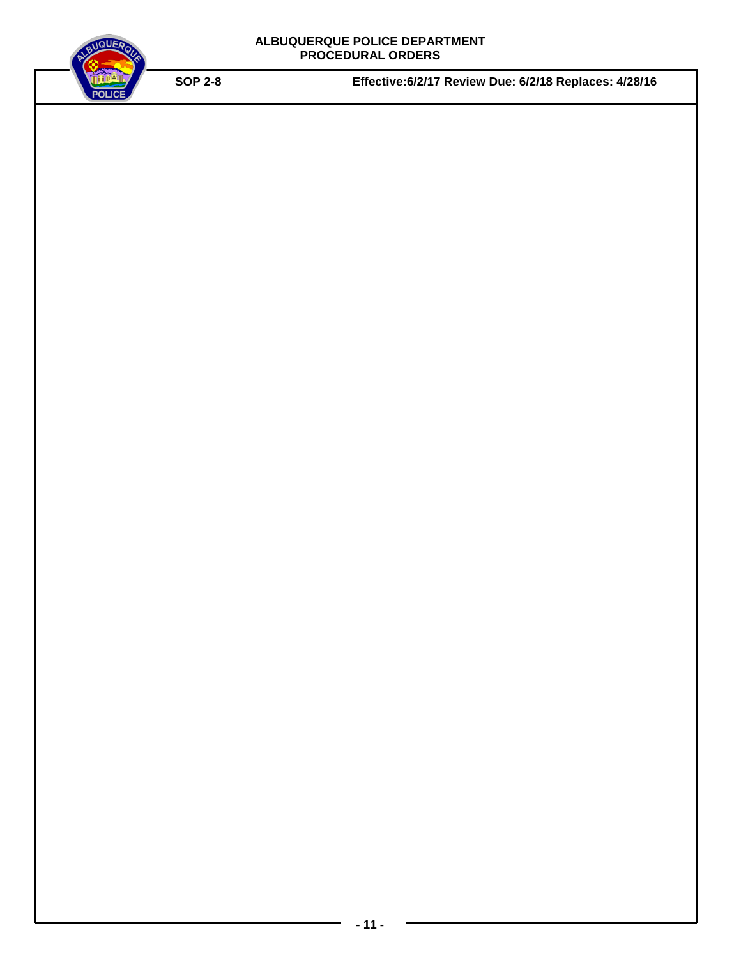

**SOP 2-8 Effective:6/2/17 Review Due: 6/2/18 Replaces: 4/28/16**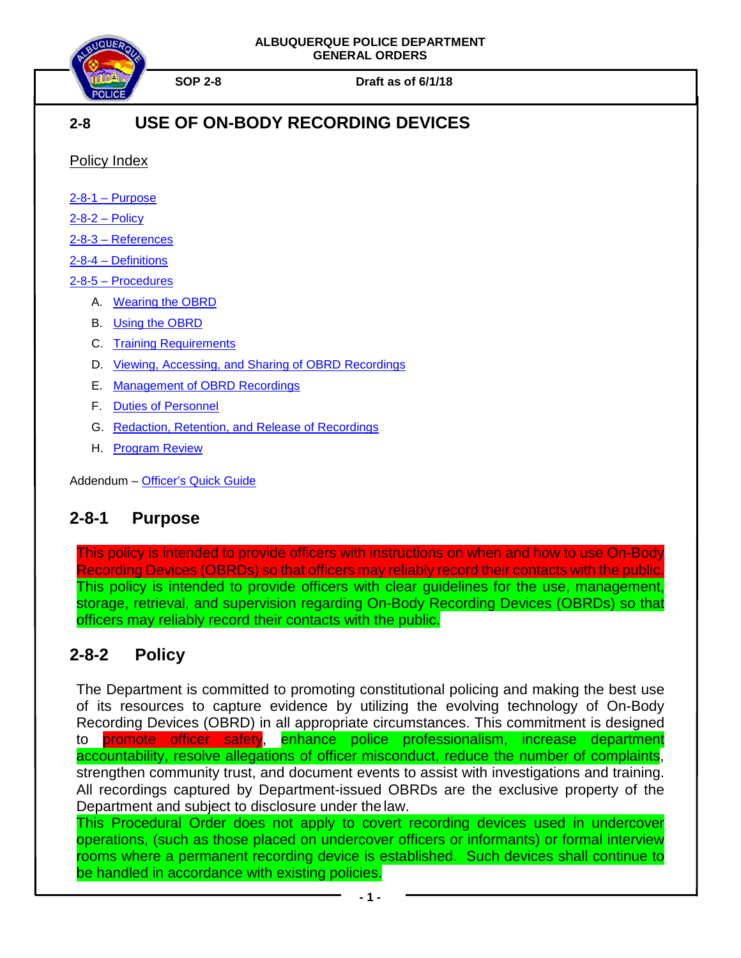

**SOP 2-8 Draft as of 6/1/18**

# **2-8 USE OF ON-BODY RECORDING DEVICES**

Policy Index

2-8-1 – Purpose

2-8-2 – Policy

2-8-3 – References

2-8-4 – Definitions

2-8-5 – Procedures

- A. Wearing the OBRD
- B. Using the OBRD
- C. Training Requirements
- D. Viewing, Accessing, and Sharing of OBRD Recordings
- E. Management of OBRD Recordings
- F. [Duties of Personnel](#page-19-0)
- G. [Redaction, Retention, and Release of Recordings](#page-20-0)
- H. [Program Review](#page-21-0)

Addendum – [Officer's Quick Guide](#page-21-1)

# **2-8-1 Purpose**

This policy is intended to provide officers with instructions on when and how to use On-Body Recording Devices (OBRDs) so that officers may reliably record their contacts with the public. This policy is intended to provide officers with clear guidelines for the use, management, storage, retrieval, and supervision regarding On-Body Recording Devices (OBRDs) so that officers may reliably record their contacts with the public.

# **2-8-2 Policy**

The Department is committed to promoting constitutional policing and making the best use of its resources to capture evidence by utilizing the evolving technology of On-Body Recording Devices (OBRD) in all appropriate circumstances. This commitment is designed to promote officer safety, enhance police professionalism, increase department accountability, resolve allegations of officer misconduct, reduce the number of complaints, strengthen community trust, and document events to assist with investigations and training. All recordings captured by Department-issued OBRDs are the exclusive property of the Department and subject to disclosure under the law.

This Procedural Order does not apply to covert recording devices used in undercover operations, (such as those placed on undercover officers or informants) or formal interview rooms where a permanent recording device is established. Such devices shall continue to be handled in accordance with existing policies.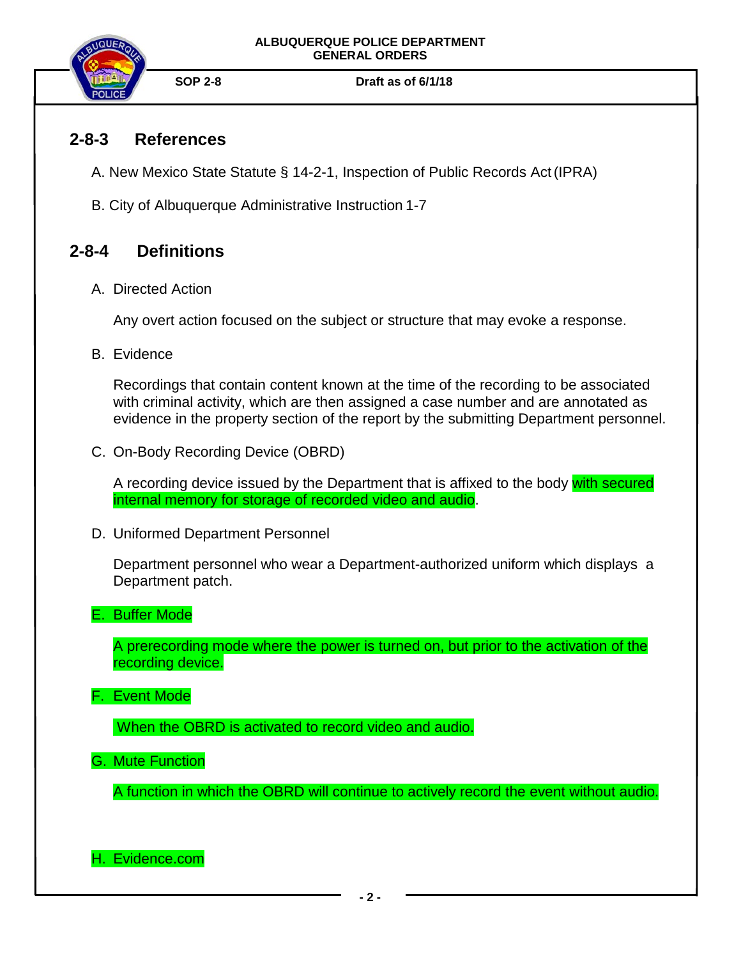

**SOP 2-8 Draft as of 6/1/18**

# **2-8-3 References**

A. New Mexico State Statute § 14-2-1, Inspection of Public Records Act(IPRA)

B. City of Albuquerque Administrative Instruction 1-7

# **2-8-4 Definitions**

A. Directed Action

Any overt action focused on the subject or structure that may evoke a response.

B. Evidence

Recordings that contain content known at the time of the recording to be associated with criminal activity, which are then assigned a case number and are annotated as evidence in the property section of the report by the submitting Department personnel.

C. On-Body Recording Device (OBRD)

A recording device issued by the Department that is affixed to the body with secured internal memory for storage of recorded video and audio.

D. Uniformed Department Personnel

Department personnel who wear a Department-authorized uniform which displays a Department patch.

# E. Buffer Mode

A prerecording mode where the power is turned on, but prior to the activation of the recording device.

F. Event Mode

When the OBRD is activated to record video and audio.

G. Mute Function

A function in which the OBRD will continue to actively record the event without audio.

H. Evidence.com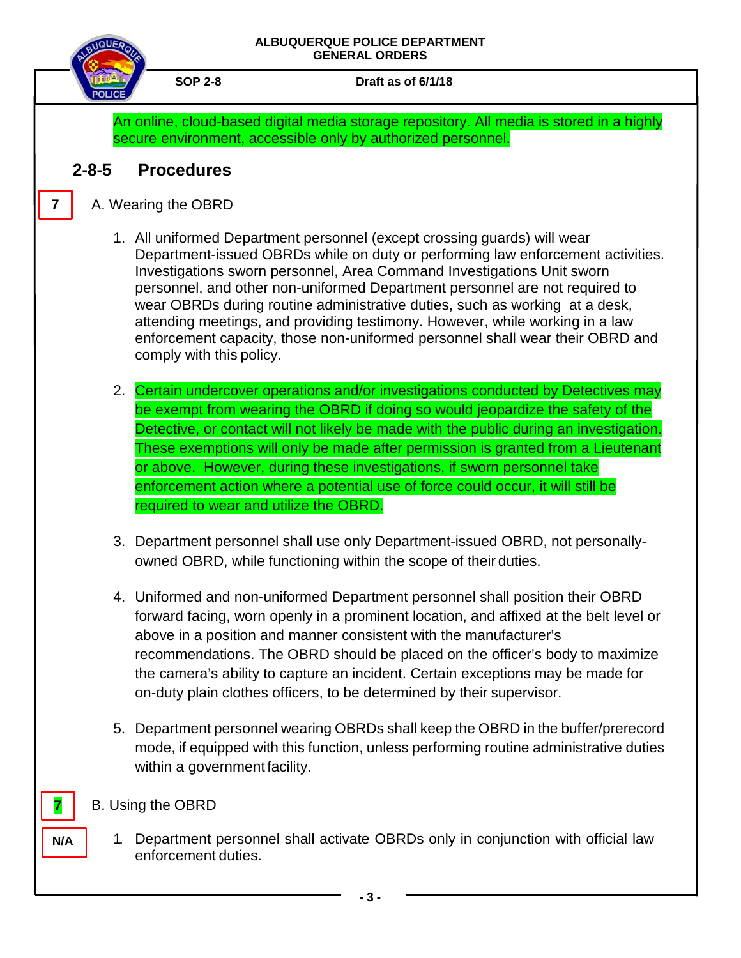**SOP 2-8 Draft as of 6/1/18**

An online, cloud-based digital media storage repository. All media is stored in a highly secure environment, accessible only by authorized personnel.

# **2-8-5 Procedures**

**7**

# A. Wearing the OBRD

- 1. All uniformed Department personnel (except crossing guards) will wear Department-issued OBRDs while on duty or performing law enforcement activities. Investigations sworn personnel, Area Command Investigations Unit sworn personnel, and other non-uniformed Department personnel are not required to wear OBRDs during routine administrative duties, such as working at a desk, attending meetings, and providing testimony. However, while working in a law enforcement capacity, those non-uniformed personnel shall wear their OBRD and comply with this policy.
- 2. Certain undercover operations and/or investigations conducted by Detectives may be exempt from wearing the OBRD if doing so would jeopardize the safety of the Detective, or contact will not likely be made with the public during an investigation. These exemptions will only be made after permission is granted from a Lieutenant or above. However, during these investigations, if sworn personnel take enforcement action where a potential use of force could occur, it will still be required to wear and utilize the OBRD.
- 3. Department personnel shall use only Department-issued OBRD, not personallyowned OBRD, while functioning within the scope of their duties.
- 4. Uniformed and non-uniformed Department personnel shall position their OBRD forward facing, worn openly in a prominent location, and affixed at the belt level or above in a position and manner consistent with the manufacturer's recommendations. The OBRD should be placed on the officer's body to maximize the camera's ability to capture an incident. Certain exceptions may be made for on-duty plain clothes officers, to be determined by their supervisor.
- 5. Department personnel wearing OBRDs shall keep the OBRD in the buffer/prerecord mode, if equipped with this function, unless performing routine administrative duties within a government facility.
- B. Using the OBRD

**7**

**N/A**

1. Department personnel shall activate OBRDs only in conjunction with official law enforcement duties.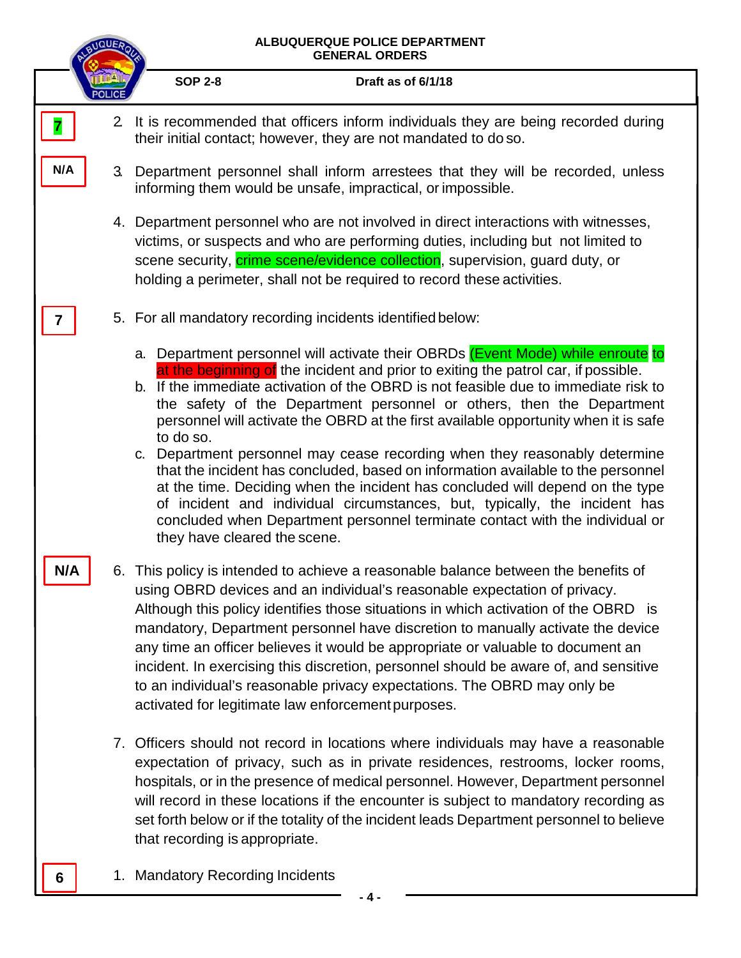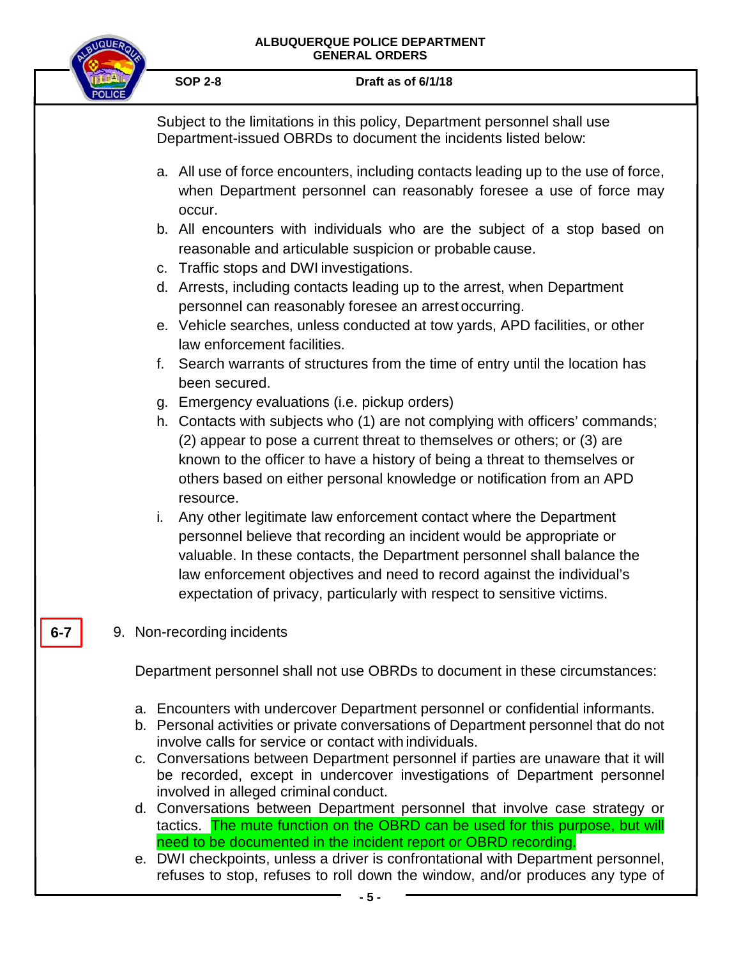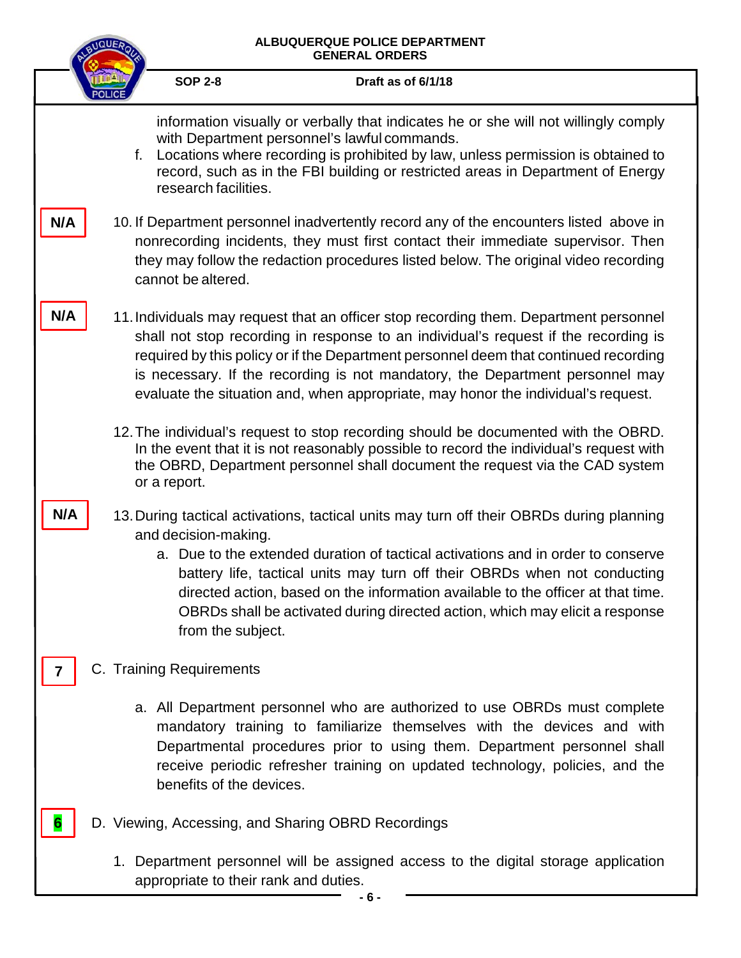|     |    |                                           | ALBUQUERQUE POLICE DEPARTMENT<br><b>GENERAL ORDERS</b>                                                                                                                                                                                                                                                                                                                                                                                     |
|-----|----|-------------------------------------------|--------------------------------------------------------------------------------------------------------------------------------------------------------------------------------------------------------------------------------------------------------------------------------------------------------------------------------------------------------------------------------------------------------------------------------------------|
|     |    | <b>SOP 2-8</b>                            | Draft as of 6/1/18                                                                                                                                                                                                                                                                                                                                                                                                                         |
|     | f. | research facilities.                      | information visually or verbally that indicates he or she will not willingly comply<br>with Department personnel's lawful commands.<br>Locations where recording is prohibited by law, unless permission is obtained to<br>record, such as in the FBI building or restricted areas in Department of Energy                                                                                                                                 |
| N/A |    | cannot be altered.                        | 10. If Department personnel inadvertently record any of the encounters listed above in<br>nonrecording incidents, they must first contact their immediate supervisor. Then<br>they may follow the redaction procedures listed below. The original video recording                                                                                                                                                                          |
| N/A |    |                                           | 11. Individuals may request that an officer stop recording them. Department personnel<br>shall not stop recording in response to an individual's request if the recording is<br>required by this policy or if the Department personnel deem that continued recording<br>is necessary. If the recording is not mandatory, the Department personnel may<br>evaluate the situation and, when appropriate, may honor the individual's request. |
|     |    | or a report.                              | 12. The individual's request to stop recording should be documented with the OBRD.<br>In the event that it is not reasonably possible to record the individual's request with<br>the OBRD, Department personnel shall document the request via the CAD system                                                                                                                                                                              |
| N/A |    | and decision-making.<br>from the subject. | 13. During tactical activations, tactical units may turn off their OBRDs during planning<br>a. Due to the extended duration of tactical activations and in order to conserve<br>battery life, tactical units may turn off their OBRDs when not conducting<br>directed action, based on the information available to the officer at that time.<br>OBRDs shall be activated during directed action, which may elicit a response              |
|     |    | C. Training Requirements                  |                                                                                                                                                                                                                                                                                                                                                                                                                                            |
|     |    | benefits of the devices.                  | a. All Department personnel who are authorized to use OBRDs must complete<br>mandatory training to familiarize themselves with the devices and with<br>Departmental procedures prior to using them. Department personnel shall<br>receive periodic refresher training on updated technology, policies, and the                                                                                                                             |
|     |    |                                           | D. Viewing, Accessing, and Sharing OBRD Recordings                                                                                                                                                                                                                                                                                                                                                                                         |
|     |    | appropriate to their rank and duties.     | 1. Department personnel will be assigned access to the digital storage application                                                                                                                                                                                                                                                                                                                                                         |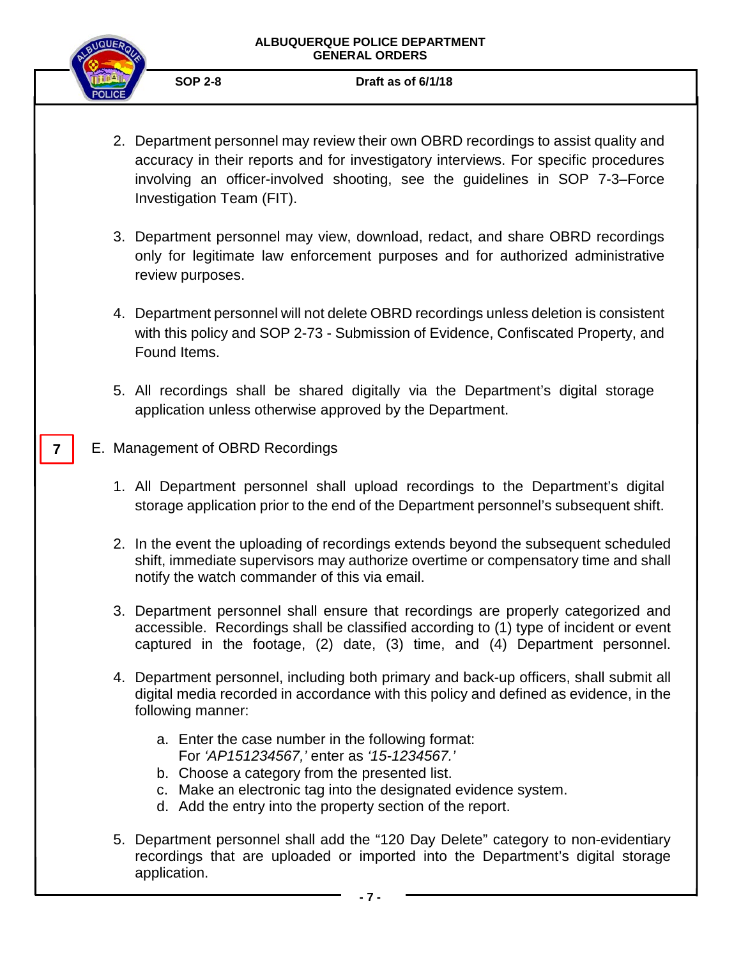

**SOP 2-8 Draft as of 6/1/18**

- 2. Department personnel may review their own OBRD recordings to assist quality and accuracy in their reports and for investigatory interviews. For specific procedures involving an officer-involved shooting, see the guidelines in SOP 7-3–Force Investigation Team (FIT).
- 3. Department personnel may view, download, redact, and share OBRD recordings only for legitimate law enforcement purposes and for authorized administrative review purposes.
- 4. Department personnel will not delete OBRD recordings unless deletion is consistent with this policy and SOP 2-73 - Submission of Evidence, Confiscated Property, and Found Items.
- 5. All recordings shall be shared digitally via the Department's digital storage application unless otherwise approved by the Department.
- E. Management of OBRD Recordings
	- 1. All Department personnel shall upload recordings to the Department's digital storage application prior to the end of the Department personnel's subsequent shift.
	- 2. In the event the uploading of recordings extends beyond the subsequent scheduled shift, immediate supervisors may authorize overtime or compensatory time and shall notify the watch commander of this via email.
	- 3. Department personnel shall ensure that recordings are properly categorized and accessible. Recordings shall be classified according to (1) type of incident or event captured in the footage, (2) date, (3) time, and (4) Department personnel.
	- 4. Department personnel, including both primary and back-up officers, shall submit all digital media recorded in accordance with this policy and defined as evidence, in the following manner:
		- a. Enter the case number in the following format: For *'AP151234567,'* enter as *'15-1234567.'*
		- b. Choose a category from the presented list.
		- c. Make an electronic tag into the designated evidence system.
		- d. Add the entry into the property section of the report.
	- 5. Department personnel shall add the "120 Day Delete" category to non-evidentiary recordings that are uploaded or imported into the Department's digital storage application.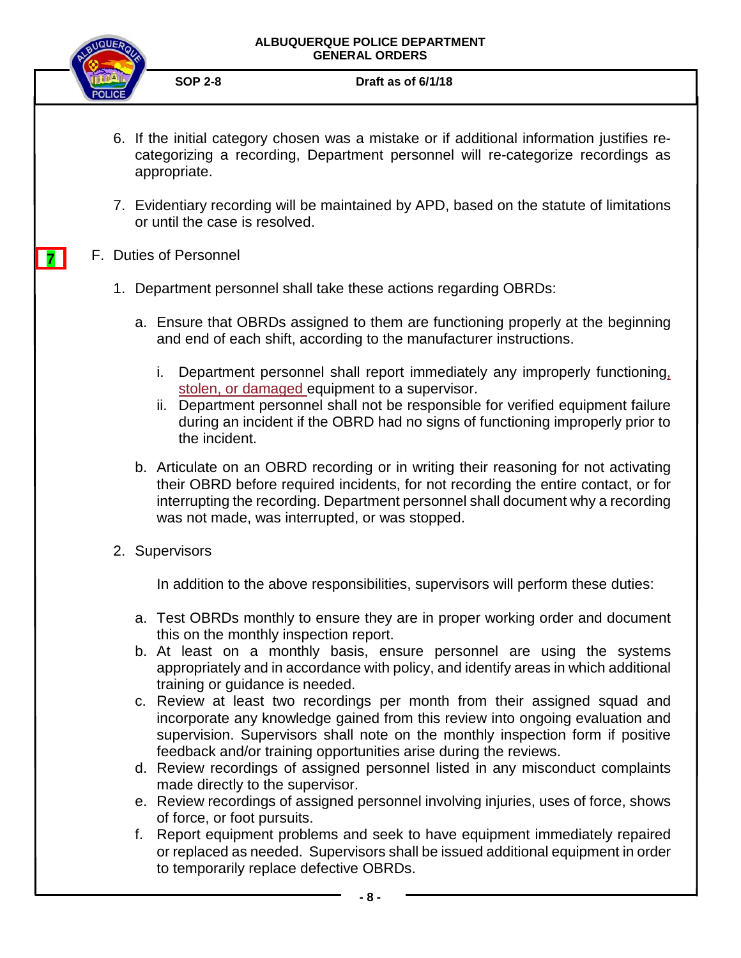

**SOP 2-8 Draft as of 6/1/18**

- 6. If the initial category chosen was a mistake or if additional information justifies recategorizing a recording, Department personnel will re-categorize recordings as appropriate.
- 7. Evidentiary recording will be maintained by APD, based on the statute of limitations or until the case is resolved.
- <span id="page-19-0"></span>F. Duties of Personnel

**7**

- 1. Department personnel shall take these actions regarding OBRDs:
	- a. Ensure that OBRDs assigned to them are functioning properly at the beginning and end of each shift, according to the manufacturer instructions.
		- i. Department personnel shall report immediately any improperly functioning, stolen, or damaged equipment to a supervisor.
		- ii. Department personnel shall not be responsible for verified equipment failure during an incident if the OBRD had no signs of functioning improperly prior to the incident.
	- b. Articulate on an OBRD recording or in writing their reasoning for not activating their OBRD before required incidents, for not recording the entire contact, or for interrupting the recording. Department personnel shall document why a recording was not made, was interrupted, or was stopped.
- 2. Supervisors

In addition to the above responsibilities, supervisors will perform these duties:

- a. Test OBRDs monthly to ensure they are in proper working order and document this on the monthly inspection report.
- b. At least on a monthly basis, ensure personnel are using the systems appropriately and in accordance with policy, and identify areas in which additional training or guidance is needed.
- c. Review at least two recordings per month from their assigned squad and incorporate any knowledge gained from this review into ongoing evaluation and supervision. Supervisors shall note on the monthly inspection form if positive feedback and/or training opportunities arise during the reviews.
- d. Review recordings of assigned personnel listed in any misconduct complaints made directly to the supervisor.
- e. Review recordings of assigned personnel involving injuries, uses of force, shows of force, or foot pursuits.
- f. Report equipment problems and seek to have equipment immediately repaired or replaced as needed. Supervisors shall be issued additional equipment in order to temporarily replace defective OBRDs.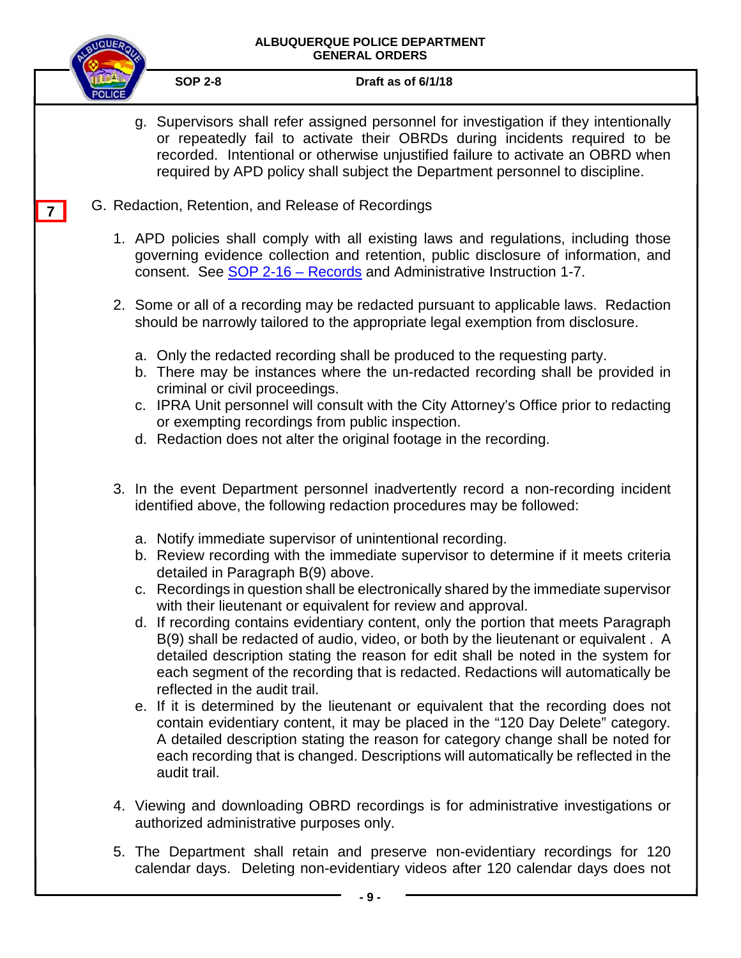**7**

**SOP 2-8 Draft as of 6/1/18**

- g. Supervisors shall refer assigned personnel for investigation if they intentionally or repeatedly fail to activate their OBRDs during incidents required to be recorded. Intentional or otherwise unjustified failure to activate an OBRD when required by APD policy shall subject the Department personnel to discipline.
- <span id="page-20-0"></span>G. Redaction, Retention, and Release of Recordings
	- 1. APD policies shall comply with all existing laws and regulations, including those governing evidence collection and retention, public disclosure of information, and consent. See [SOP 2-16 –](https://powerdms.com/link/IDS/document/?id=19) Records and Administrative Instruction 1-7.
	- 2. Some or all of a recording may be redacted pursuant to applicable laws. Redaction should be narrowly tailored to the appropriate legal exemption from disclosure.
		- a. Only the redacted recording shall be produced to the requesting party.
		- b. There may be instances where the un-redacted recording shall be provided in criminal or civil proceedings.
		- c. IPRA Unit personnel will consult with the City Attorney's Office prior to redacting or exempting recordings from public inspection.
		- d. Redaction does not alter the original footage in the recording.
	- 3. In the event Department personnel inadvertently record a non-recording incident identified above, the following redaction procedures may be followed:
		- a. Notify immediate supervisor of unintentional recording.
		- b. Review recording with the immediate supervisor to determine if it meets criteria detailed in Paragraph B(9) above.
		- c. Recordings in question shall be electronically shared by the immediate supervisor with their lieutenant or equivalent for review and approval.
		- d. If recording contains evidentiary content, only the portion that meets Paragraph B(9) shall be redacted of audio, video, or both by the lieutenant or equivalent . A detailed description stating the reason for edit shall be noted in the system for each segment of the recording that is redacted. Redactions will automatically be reflected in the audit trail.
		- e. If it is determined by the lieutenant or equivalent that the recording does not contain evidentiary content, it may be placed in the "120 Day Delete" category. A detailed description stating the reason for category change shall be noted for each recording that is changed. Descriptions will automatically be reflected in the audit trail.
	- 4. Viewing and downloading OBRD recordings is for administrative investigations or authorized administrative purposes only.
	- 5. The Department shall retain and preserve non-evidentiary recordings for 120 calendar days. Deleting non-evidentiary videos after 120 calendar days does not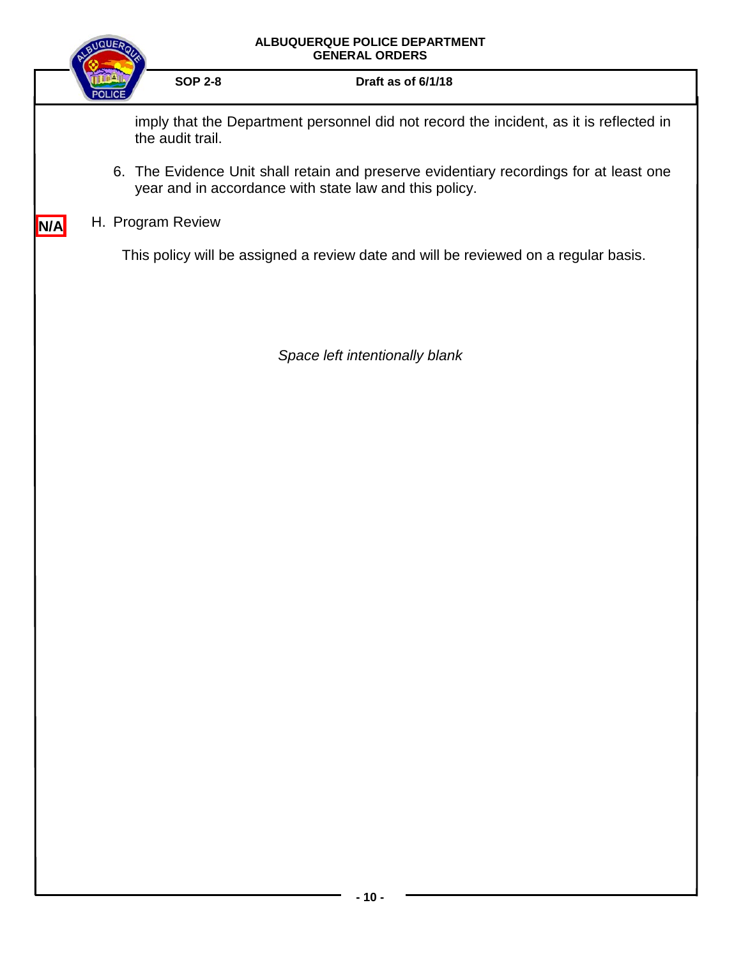<span id="page-21-1"></span><span id="page-21-0"></span>

|     | ALBUQUERQUE POLICE DEPARTMENT<br><b>GENERAL ORDERS</b> |  |                                                                                                                                                  |  |  |  |
|-----|--------------------------------------------------------|--|--------------------------------------------------------------------------------------------------------------------------------------------------|--|--|--|
|     |                                                        |  | <b>SOP 2-8</b><br>Draft as of 6/1/18                                                                                                             |  |  |  |
|     |                                                        |  | imply that the Department personnel did not record the incident, as it is reflected in<br>the audit trail.                                       |  |  |  |
|     |                                                        |  | 6. The Evidence Unit shall retain and preserve evidentiary recordings for at least one<br>year and in accordance with state law and this policy. |  |  |  |
| N/A |                                                        |  | H. Program Review                                                                                                                                |  |  |  |
|     |                                                        |  | This policy will be assigned a review date and will be reviewed on a regular basis.                                                              |  |  |  |
|     |                                                        |  |                                                                                                                                                  |  |  |  |
|     |                                                        |  |                                                                                                                                                  |  |  |  |
|     |                                                        |  | Space left intentionally blank                                                                                                                   |  |  |  |
|     |                                                        |  |                                                                                                                                                  |  |  |  |
|     |                                                        |  |                                                                                                                                                  |  |  |  |
|     |                                                        |  |                                                                                                                                                  |  |  |  |
|     |                                                        |  |                                                                                                                                                  |  |  |  |
|     |                                                        |  |                                                                                                                                                  |  |  |  |
|     |                                                        |  |                                                                                                                                                  |  |  |  |
|     |                                                        |  |                                                                                                                                                  |  |  |  |
|     |                                                        |  |                                                                                                                                                  |  |  |  |
|     |                                                        |  |                                                                                                                                                  |  |  |  |
|     |                                                        |  |                                                                                                                                                  |  |  |  |
|     |                                                        |  |                                                                                                                                                  |  |  |  |
|     |                                                        |  |                                                                                                                                                  |  |  |  |
|     |                                                        |  |                                                                                                                                                  |  |  |  |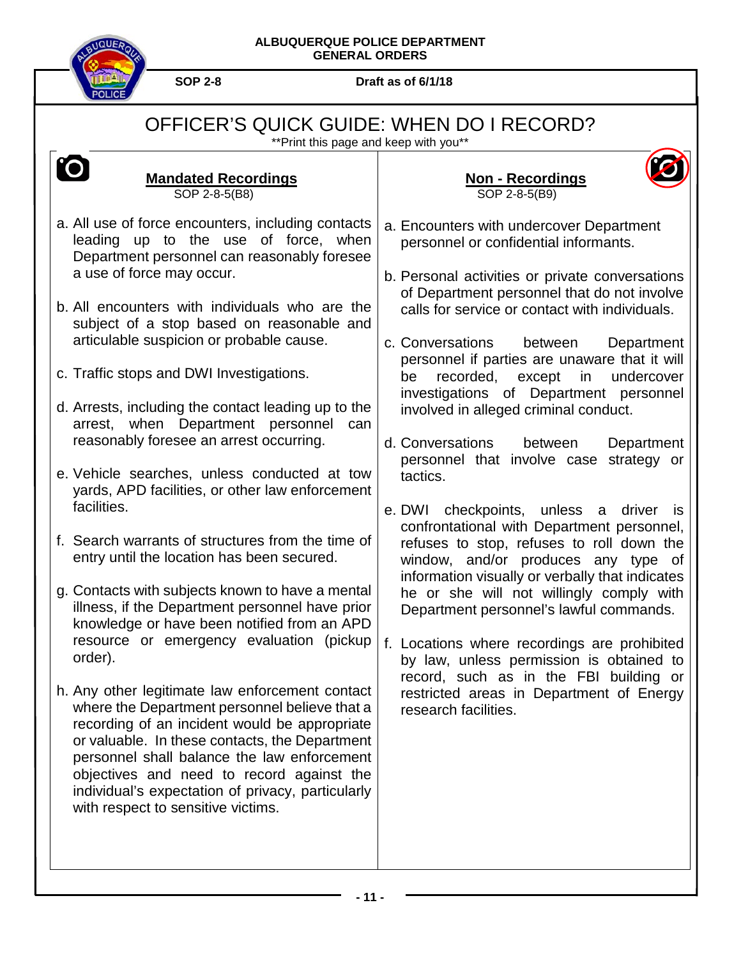

**SOP 2-8 Draft as of 6/1/18**

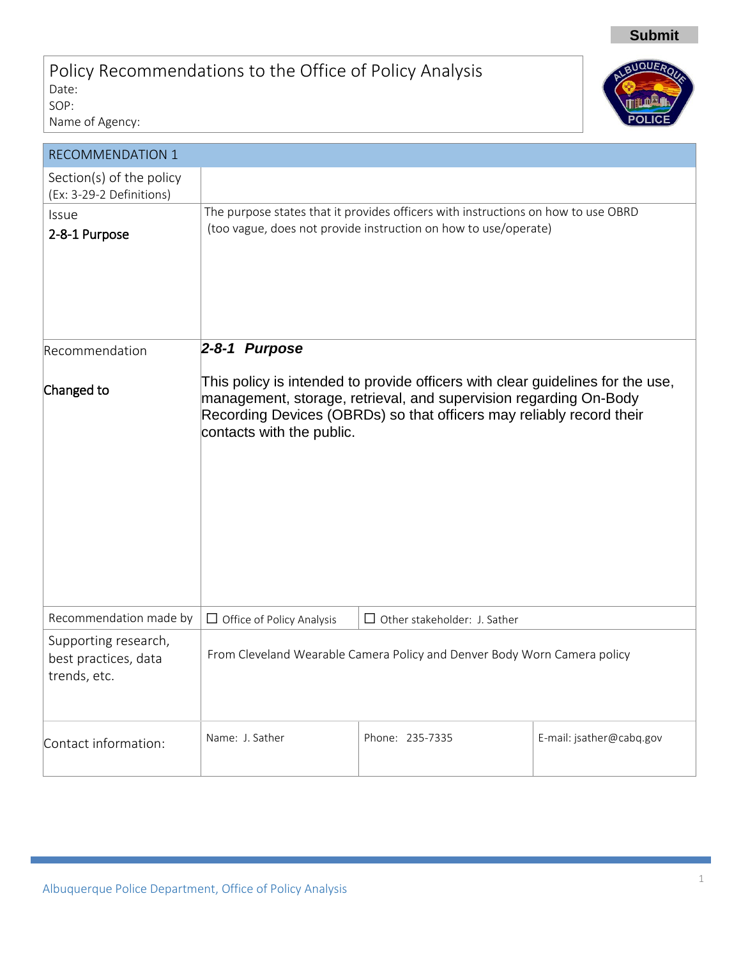# **Submit**



| <b>RECOMMENDATION 1</b>                                      |                                                                                                                                                                                                                                                          |                                                                                                                                                      |                          |  |  |  |
|--------------------------------------------------------------|----------------------------------------------------------------------------------------------------------------------------------------------------------------------------------------------------------------------------------------------------------|------------------------------------------------------------------------------------------------------------------------------------------------------|--------------------------|--|--|--|
| Section(s) of the policy<br>(Ex: 3-29-2 Definitions)         |                                                                                                                                                                                                                                                          |                                                                                                                                                      |                          |  |  |  |
| Issue<br>2-8-1 Purpose                                       |                                                                                                                                                                                                                                                          | The purpose states that it provides officers with instructions on how to use OBRD<br>(too vague, does not provide instruction on how to use/operate) |                          |  |  |  |
| Recommendation                                               | 2-8-1 Purpose                                                                                                                                                                                                                                            |                                                                                                                                                      |                          |  |  |  |
| Changed to                                                   | This policy is intended to provide officers with clear guidelines for the use,<br>management, storage, retrieval, and supervision regarding On-Body<br>Recording Devices (OBRDs) so that officers may reliably record their<br>contacts with the public. |                                                                                                                                                      |                          |  |  |  |
| Recommendation made by                                       | $\Box$ Office of Policy Analysis                                                                                                                                                                                                                         | $\Box$ Other stakeholder: J. Sather                                                                                                                  |                          |  |  |  |
| Supporting research,<br>best practices, data<br>trends, etc. |                                                                                                                                                                                                                                                          | From Cleveland Wearable Camera Policy and Denver Body Worn Camera policy                                                                             |                          |  |  |  |
| Contact information:                                         | Name: J. Sather                                                                                                                                                                                                                                          | Phone: 235-7335                                                                                                                                      | E-mail: jsather@cabq.gov |  |  |  |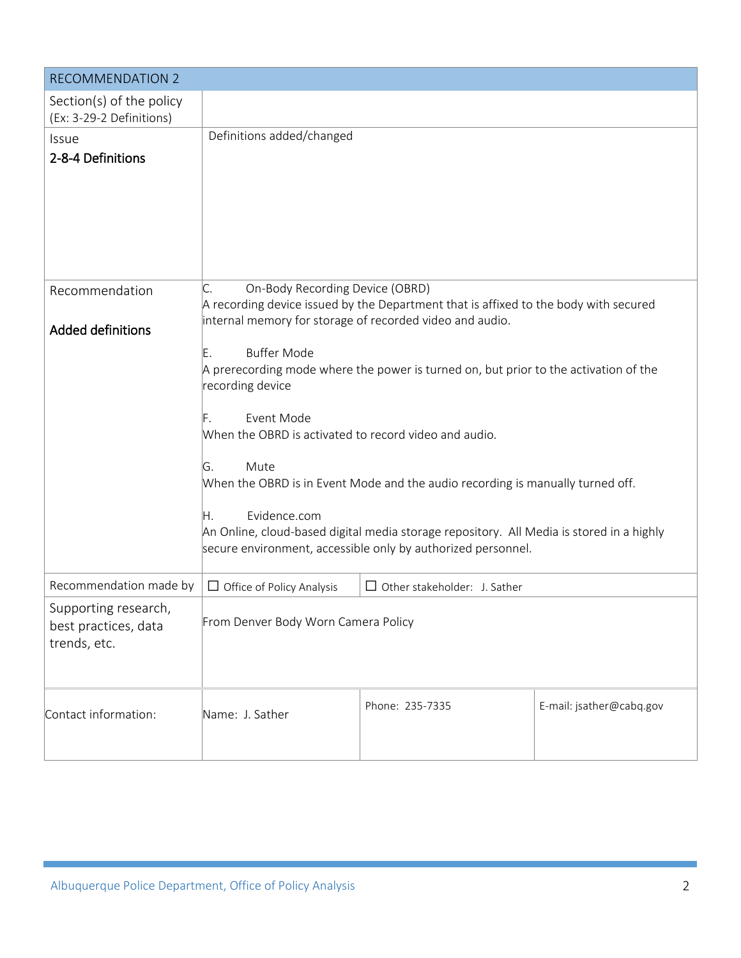| <b>RECOMMENDATION 2</b>                                      |                                                                                                                                                                                                                                                                                                                                                                                                                                                                                                                                                                           |                                                                                              |                          |  |
|--------------------------------------------------------------|---------------------------------------------------------------------------------------------------------------------------------------------------------------------------------------------------------------------------------------------------------------------------------------------------------------------------------------------------------------------------------------------------------------------------------------------------------------------------------------------------------------------------------------------------------------------------|----------------------------------------------------------------------------------------------|--------------------------|--|
| Section(s) of the policy<br>(Ex: 3-29-2 Definitions)         |                                                                                                                                                                                                                                                                                                                                                                                                                                                                                                                                                                           |                                                                                              |                          |  |
| Issue<br>2-8-4 Definitions                                   | Definitions added/changed                                                                                                                                                                                                                                                                                                                                                                                                                                                                                                                                                 |                                                                                              |                          |  |
| Recommendation                                               | C.<br>On-Body Recording Device (OBRD)                                                                                                                                                                                                                                                                                                                                                                                                                                                                                                                                     | $\vert$ A recording device issued by the Department that is affixed to the body with secured |                          |  |
| <b>Added definitions</b>                                     | internal memory for storage of recorded video and audio.<br><b>Buffer Mode</b><br>E.<br>$\vert$ A prerecording mode where the power is turned on, but prior to the activation of the<br>recording device<br>Event Mode<br>F.<br>When the OBRD is activated to record video and audio.<br>Mute<br>IG.<br>When the OBRD is in Event Mode and the audio recording is manually turned off.<br>Evidence.com<br>IH.<br>An Online, cloud-based digital media storage repository. All Media is stored in a highly<br>secure environment, accessible only by authorized personnel. |                                                                                              |                          |  |
| Recommendation made by                                       | $\Box$ Office of Policy Analysis                                                                                                                                                                                                                                                                                                                                                                                                                                                                                                                                          | $\Box$ Other stakeholder: J. Sather                                                          |                          |  |
| Supporting research,<br>best practices, data<br>trends, etc. | From Denver Body Worn Camera Policy                                                                                                                                                                                                                                                                                                                                                                                                                                                                                                                                       |                                                                                              |                          |  |
| Contact information:                                         | Name: J. Sather                                                                                                                                                                                                                                                                                                                                                                                                                                                                                                                                                           | Phone: 235-7335                                                                              | E-mail: jsather@cabq.gov |  |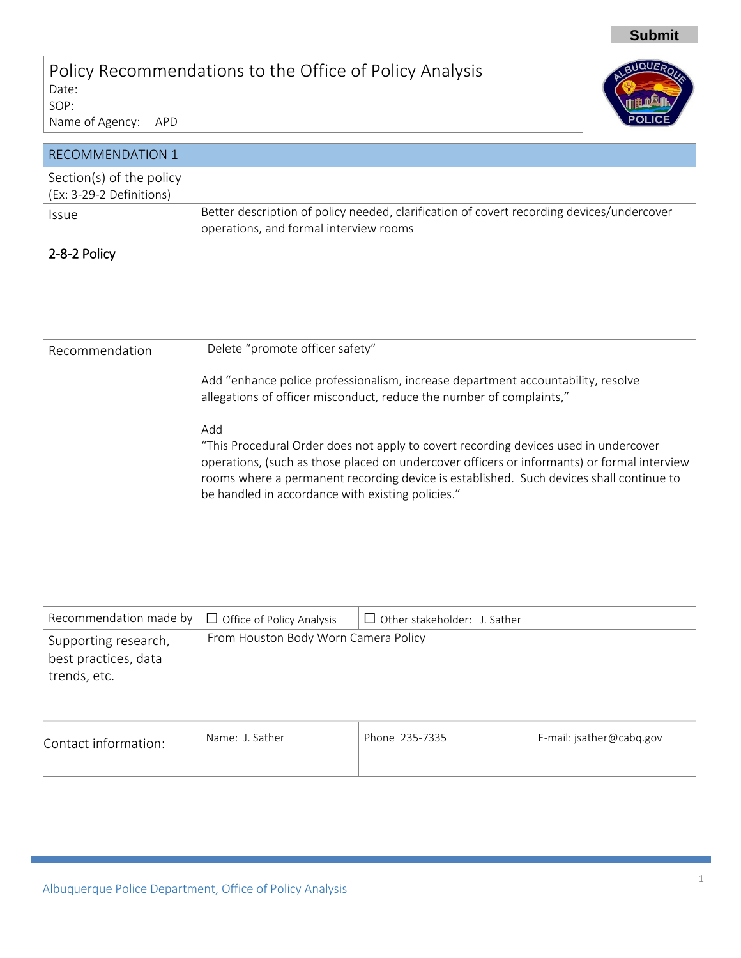### **Submit**

# Policy Recommendations to the Office of Policy Analysis Date: SOP: Name of Agency: APD



| <b>RECOMMENDATION 1</b>                                      |                                                                                                                                     |                                                                                                                                                                                                                                                                                                                                                                                                                                            |                          |  |
|--------------------------------------------------------------|-------------------------------------------------------------------------------------------------------------------------------------|--------------------------------------------------------------------------------------------------------------------------------------------------------------------------------------------------------------------------------------------------------------------------------------------------------------------------------------------------------------------------------------------------------------------------------------------|--------------------------|--|
| Section(s) of the policy<br>(Ex: 3-29-2 Definitions)         |                                                                                                                                     |                                                                                                                                                                                                                                                                                                                                                                                                                                            |                          |  |
| <i><u><b>Issue</b></u></i>                                   | Better description of policy needed, clarification of covert recording devices/undercover<br>operations, and formal interview rooms |                                                                                                                                                                                                                                                                                                                                                                                                                                            |                          |  |
| 2-8-2 Policy                                                 |                                                                                                                                     |                                                                                                                                                                                                                                                                                                                                                                                                                                            |                          |  |
| Recommendation                                               | Delete "promote officer safety"                                                                                                     |                                                                                                                                                                                                                                                                                                                                                                                                                                            |                          |  |
|                                                              | Add<br>be handled in accordance with existing policies."                                                                            | Add "enhance police professionalism, increase department accountability, resolve<br>allegations of officer misconduct, reduce the number of complaints,"<br>"This Procedural Order does not apply to covert recording devices used in undercover<br>operations, (such as those placed on undercover officers or informants) or formal interview<br>rooms where a permanent recording device is established. Such devices shall continue to |                          |  |
| Recommendation made by                                       | $\Box$ Office of Policy Analysis                                                                                                    | $\Box$ Other stakeholder: J. Sather                                                                                                                                                                                                                                                                                                                                                                                                        |                          |  |
| Supporting research,<br>best practices, data<br>trends, etc. | From Houston Body Worn Camera Policy                                                                                                |                                                                                                                                                                                                                                                                                                                                                                                                                                            |                          |  |
| Contact information:                                         | Name: J. Sather                                                                                                                     | Phone 235-7335                                                                                                                                                                                                                                                                                                                                                                                                                             | E-mail: jsather@cabq.gov |  |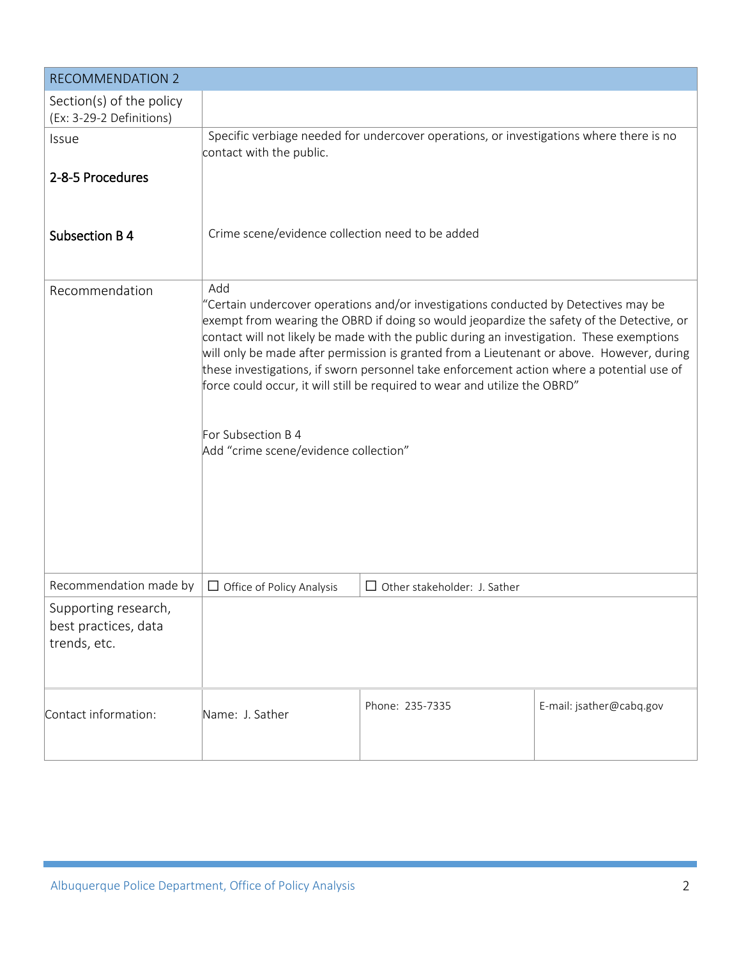| <b>RECOMMENDATION 2</b>                                      |                                                                                                                     |                                                                                                                                                                                                                                                                                                                                                                                                                                                                                                                                                       |                          |  |
|--------------------------------------------------------------|---------------------------------------------------------------------------------------------------------------------|-------------------------------------------------------------------------------------------------------------------------------------------------------------------------------------------------------------------------------------------------------------------------------------------------------------------------------------------------------------------------------------------------------------------------------------------------------------------------------------------------------------------------------------------------------|--------------------------|--|
| Section(s) of the policy<br>(Ex: 3-29-2 Definitions)         |                                                                                                                     |                                                                                                                                                                                                                                                                                                                                                                                                                                                                                                                                                       |                          |  |
| Issue                                                        | Specific verbiage needed for undercover operations, or investigations where there is no<br>contact with the public. |                                                                                                                                                                                                                                                                                                                                                                                                                                                                                                                                                       |                          |  |
| 2-8-5 Procedures                                             |                                                                                                                     |                                                                                                                                                                                                                                                                                                                                                                                                                                                                                                                                                       |                          |  |
| <b>Subsection B4</b>                                         | Crime scene/evidence collection need to be added                                                                    |                                                                                                                                                                                                                                                                                                                                                                                                                                                                                                                                                       |                          |  |
| Recommendation                                               | Add<br>For Subsection B 4<br>Add "crime scene/evidence collection"                                                  | "Certain undercover operations and/or investigations conducted by Detectives may be<br>exempt from wearing the OBRD if doing so would jeopardize the safety of the Detective, or<br>contact will not likely be made with the public during an investigation. These exemptions<br>will only be made after permission is granted from a Lieutenant or above. However, during<br>these investigations, if sworn personnel take enforcement action where a potential use of<br>force could occur, it will still be required to wear and utilize the OBRD" |                          |  |
| Recommendation made by                                       | $\Box$ Office of Policy Analysis                                                                                    | $\Box$ Other stakeholder: J. Sather                                                                                                                                                                                                                                                                                                                                                                                                                                                                                                                   |                          |  |
| Supporting research,<br>best practices, data<br>trends, etc. |                                                                                                                     |                                                                                                                                                                                                                                                                                                                                                                                                                                                                                                                                                       |                          |  |
| Contact information:                                         | Name: J. Sather                                                                                                     | Phone: 235-7335                                                                                                                                                                                                                                                                                                                                                                                                                                                                                                                                       | E-mail: jsather@cabq.gov |  |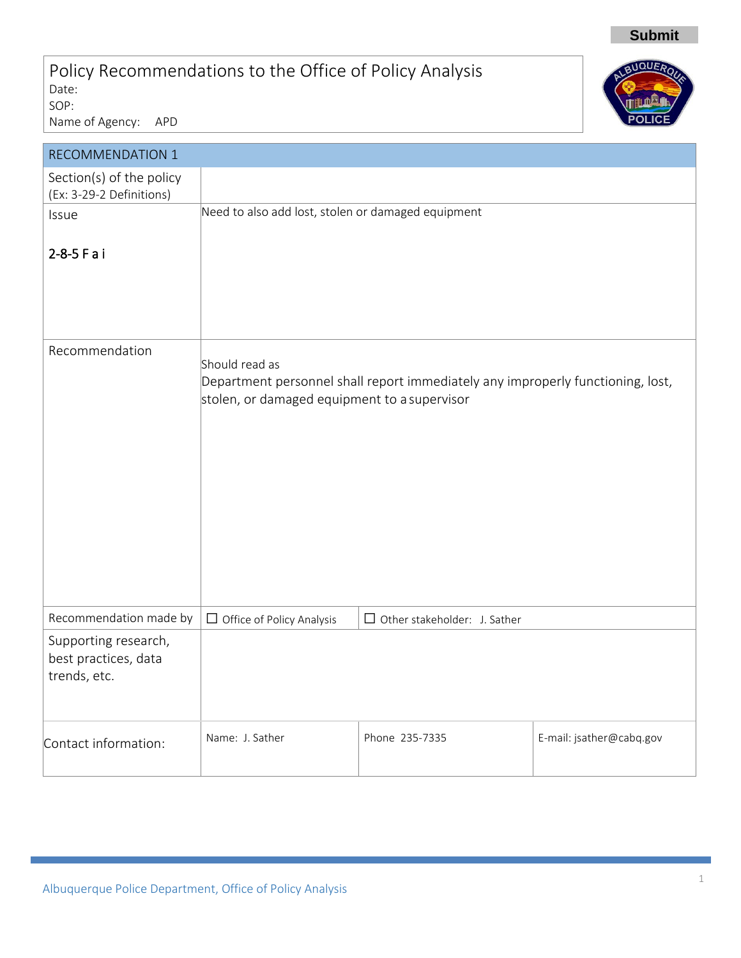### **Submit**

# Policy Recommendations to the Office of Policy Analysis Date: SOP: Name of Agency: APD



| <b>RECOMMENDATION 1</b>                                      |                                                                |                                                                                 |                          |  |  |
|--------------------------------------------------------------|----------------------------------------------------------------|---------------------------------------------------------------------------------|--------------------------|--|--|
| Section(s) of the policy<br>(Ex: 3-29-2 Definitions)         |                                                                |                                                                                 |                          |  |  |
| Issue                                                        | Need to also add lost, stolen or damaged equipment             |                                                                                 |                          |  |  |
| $2 - 8 - 5 F a i$                                            |                                                                |                                                                                 |                          |  |  |
| Recommendation                                               |                                                                |                                                                                 |                          |  |  |
|                                                              | Should read as<br>stolen, or damaged equipment to a supervisor | Department personnel shall report immediately any improperly functioning, lost, |                          |  |  |
| Recommendation made by                                       | $\Box$ Office of Policy Analysis                               | $\Box$ Other stakeholder: J. Sather                                             |                          |  |  |
| Supporting research,<br>best practices, data<br>trends, etc. |                                                                |                                                                                 |                          |  |  |
| Contact information:                                         | Name: J. Sather                                                | Phone 235-7335                                                                  | E-mail: jsather@cabq.gov |  |  |